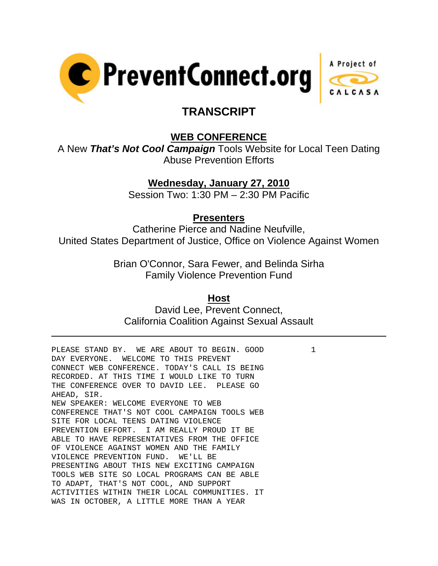



# **TRANSCRIPT**

## **WEB CONFERENCE**

A New *That's Not Cool Campaign* Tools Website for Local Teen Dating Abuse Prevention Efforts

## **Wednesday, January 27, 2010**

Session Two: 1:30 PM – 2:30 PM Pacific

#### **Presenters**

Catherine Pierce and Nadine Neufville, United States Department of Justice, Office on Violence Against Women

> Brian O'Connor, Sara Fewer, and Belinda Sirha Family Violence Prevention Fund

#### **Host**

David Lee, Prevent Connect, California Coalition Against Sexual Assault

PLEASE STAND BY. WE ARE ABOUT TO BEGIN. GOOD 1 DAY EVERYONE. WELCOME TO THIS PREVENT CONNECT WEB CONFERENCE. TODAY'S CALL IS BEING RECORDED. AT THIS TIME I WOULD LIKE TO TURN THE CONFERENCE OVER TO DAVID LEE. PLEASE GO AHEAD, SIR. NEW SPEAKER: WELCOME EVERYONE TO WEB CONFERENCE THAT'S NOT COOL CAMPAIGN TOOLS WEB SITE FOR LOCAL TEENS DATING VIOLENCE PREVENTION EFFORT. I AM REALLY PROUD IT BE ABLE TO HAVE REPRESENTATIVES FROM THE OFFICE OF VIOLENCE AGAINST WOMEN AND THE FAMILY VIOLENCE PREVENTION FUND. WE'LL BE PRESENTING ABOUT THIS NEW EXCITING CAMPAIGN TOOLS WEB SITE SO LOCAL PROGRAMS CAN BE ABLE TO ADAPT, THAT'S NOT COOL, AND SUPPORT ACTIVITIES WITHIN THEIR LOCAL COMMUNITIES. IT WAS IN OCTOBER, A LITTLE MORE THAN A YEAR

l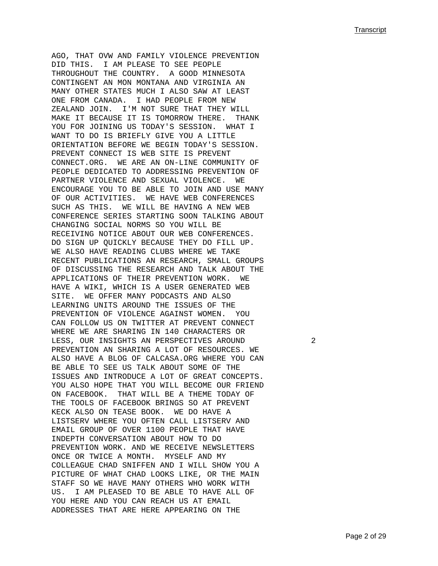AGO, THAT OVW AND FAMILY VIOLENCE PREVENTION DID THIS. I AM PLEASE TO SEE PEOPLE THROUGHOUT THE COUNTRY. A GOOD MINNESOTA CONTINGENT AN MON MONTANA AND VIRGINIA AN MANY OTHER STATES MUCH I ALSO SAW AT LEAST ONE FROM CANADA. I HAD PEOPLE FROM NEW ZEALAND JOIN. I'M NOT SURE THAT THEY WILL MAKE IT BECAUSE IT IS TOMORROW THERE. THANK YOU FOR JOINING US TODAY'S SESSION. WHAT I WANT TO DO IS BRIEFLY GIVE YOU A LITTLE ORIENTATION BEFORE WE BEGIN TODAY'S SESSION. PREVENT CONNECT IS WEB SITE IS PREVENT CONNECT.ORG. WE ARE AN ON-LINE COMMUNITY OF PEOPLE DEDICATED TO ADDRESSING PREVENTION OF PARTNER VIOLENCE AND SEXUAL VIOLENCE. WE ENCOURAGE YOU TO BE ABLE TO JOIN AND USE MANY OF OUR ACTIVITIES. WE HAVE WEB CONFERENCES SUCH AS THIS. WE WILL BE HAVING A NEW WEB CONFERENCE SERIES STARTING SOON TALKING ABOUT CHANGING SOCIAL NORMS SO YOU WILL BE RECEIVING NOTICE ABOUT OUR WEB CONFERENCES. DO SIGN UP QUICKLY BECAUSE THEY DO FILL UP. WE ALSO HAVE READING CLUBS WHERE WE TAKE RECENT PUBLICATIONS AN RESEARCH, SMALL GROUPS OF DISCUSSING THE RESEARCH AND TALK ABOUT THE APPLICATIONS OF THEIR PREVENTION WORK. WE HAVE A WIKI, WHICH IS A USER GENERATED WEB SITE. WE OFFER MANY PODCASTS AND ALSO LEARNING UNITS AROUND THE ISSUES OF THE PREVENTION OF VIOLENCE AGAINST WOMEN. YOU CAN FOLLOW US ON TWITTER AT PREVENT CONNECT WHERE WE ARE SHARING IN 140 CHARACTERS OR LESS, OUR INSIGHTS AN PERSPECTIVES AROUND 2 PREVENTION AN SHARING A LOT OF RESOURCES. WE ALSO HAVE A BLOG OF CALCASA.ORG WHERE YOU CAN BE ABLE TO SEE US TALK ABOUT SOME OF THE ISSUES AND INTRODUCE A LOT OF GREAT CONCEPTS. YOU ALSO HOPE THAT YOU WILL BECOME OUR FRIEND ON FACEBOOK. THAT WILL BE A THEME TODAY OF THE TOOLS OF FACEBOOK BRINGS SO AT PREVENT KECK ALSO ON TEASE BOOK. WE DO HAVE A LISTSERV WHERE YOU OFTEN CALL LISTSERV AND EMAIL GROUP OF OVER 1100 PEOPLE THAT HAVE INDEPTH CONVERSATION ABOUT HOW TO DO PREVENTION WORK. AND WE RECEIVE NEWSLETTERS ONCE OR TWICE A MONTH. MYSELF AND MY COLLEAGUE CHAD SNIFFEN AND I WILL SHOW YOU A PICTURE OF WHAT CHAD LOOKS LIKE, OR THE MAIN STAFF SO WE HAVE MANY OTHERS WHO WORK WITH US. I AM PLEASED TO BE ABLE TO HAVE ALL OF YOU HERE AND YOU CAN REACH US AT EMAIL ADDRESSES THAT ARE HERE APPEARING ON THE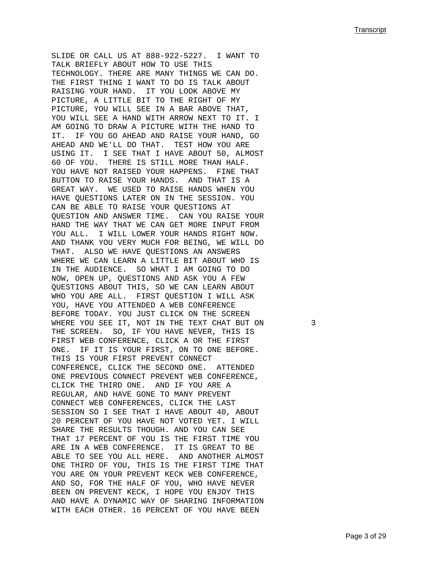SLIDE OR CALL US AT 888-922-5227. I WANT TO TALK BRIEFLY ABOUT HOW TO USE THIS TECHNOLOGY. THERE ARE MANY THINGS WE CAN DO. THE FIRST THING I WANT TO DO IS TALK ABOUT RAISING YOUR HAND. IT YOU LOOK ABOVE MY PICTURE, A LITTLE BIT TO THE RIGHT OF MY PICTURE, YOU WILL SEE IN A BAR ABOVE THAT, YOU WILL SEE A HAND WITH ARROW NEXT TO IT. I AM GOING TO DRAW A PICTURE WITH THE HAND TO IT. IF YOU GO AHEAD AND RAISE YOUR HAND, GO AHEAD AND WE'LL DO THAT. TEST HOW YOU ARE USING IT. I SEE THAT I HAVE ABOUT 50, ALMOST 60 OF YOU. THERE IS STILL MORE THAN HALF. YOU HAVE NOT RAISED YOUR HAPPENS. FINE THAT BUTTON TO RAISE YOUR HANDS. AND THAT IS A GREAT WAY. WE USED TO RAISE HANDS WHEN YOU HAVE QUESTIONS LATER ON IN THE SESSION. YOU CAN BE ABLE TO RAISE YOUR QUESTIONS AT QUESTION AND ANSWER TIME. CAN YOU RAISE YOUR HAND THE WAY THAT WE CAN GET MORE INPUT FROM YOU ALL. I WILL LOWER YOUR HANDS RIGHT NOW. AND THANK YOU VERY MUCH FOR BEING, WE WILL DO THAT. ALSO WE HAVE QUESTIONS AN ANSWERS WHERE WE CAN LEARN A LITTLE BIT ABOUT WHO IS IN THE AUDIENCE. SO WHAT I AM GOING TO DO NOW, OPEN UP, QUESTIONS AND ASK YOU A FEW QUESTIONS ABOUT THIS, SO WE CAN LEARN ABOUT WHO YOU ARE ALL. FIRST QUESTION I WILL ASK YOU, HAVE YOU ATTENDED A WEB CONFERENCE BEFORE TODAY. YOU JUST CLICK ON THE SCREEN WHERE YOU SEE IT, NOT IN THE TEXT CHAT BUT ON 3 THE SCREEN. SO, IF YOU HAVE NEVER, THIS IS FIRST WEB CONFERENCE, CLICK A OR THE FIRST ONE. IF IT IS YOUR FIRST, ON TO ONE BEFORE. THIS IS YOUR FIRST PREVENT CONNECT CONFERENCE, CLICK THE SECOND ONE. ATTENDED ONE PREVIOUS CONNECT PREVENT WEB CONFERENCE, CLICK THE THIRD ONE. AND IF YOU ARE A REGULAR, AND HAVE GONE TO MANY PREVENT CONNECT WEB CONFERENCES, CLICK THE LAST SESSION SO I SEE THAT I HAVE ABOUT 40, ABOUT 20 PERCENT OF YOU HAVE NOT VOTED YET. I WILL SHARE THE RESULTS THOUGH. AND YOU CAN SEE THAT 17 PERCENT OF YOU IS THE FIRST TIME YOU ARE IN A WEB CONFERENCE. IT IS GREAT TO BE ABLE TO SEE YOU ALL HERE. AND ANOTHER ALMOST ONE THIRD OF YOU, THIS IS THE FIRST TIME THAT YOU ARE ON YOUR PREVENT KECK WEB CONFERENCE, AND SO, FOR THE HALF OF YOU, WHO HAVE NEVER BEEN ON PREVENT KECK, I HOPE YOU ENJOY THIS AND HAVE A DYNAMIC WAY OF SHARING INFORMATION WITH EACH OTHER. 16 PERCENT OF YOU HAVE BEEN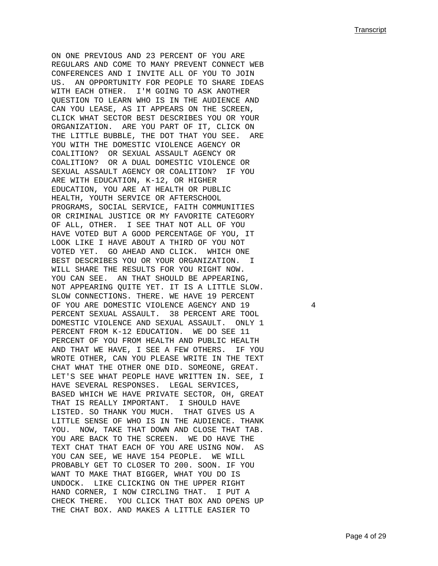ON ONE PREVIOUS AND 23 PERCENT OF YOU ARE REGULARS AND COME TO MANY PREVENT CONNECT WEB CONFERENCES AND I INVITE ALL OF YOU TO JOIN US. AN OPPORTUNITY FOR PEOPLE TO SHARE IDEAS WITH EACH OTHER. I'M GOING TO ASK ANOTHER QUESTION TO LEARN WHO IS IN THE AUDIENCE AND CAN YOU LEASE, AS IT APPEARS ON THE SCREEN, CLICK WHAT SECTOR BEST DESCRIBES YOU OR YOUR ORGANIZATION. ARE YOU PART OF IT, CLICK ON THE LITTLE BUBBLE, THE DOT THAT YOU SEE. ARE YOU WITH THE DOMESTIC VIOLENCE AGENCY OR COALITION? OR SEXUAL ASSAULT AGENCY OR COALITION? OR A DUAL DOMESTIC VIOLENCE OR SEXUAL ASSAULT AGENCY OR COALITION? IF YOU ARE WITH EDUCATION, K-12, OR HIGHER EDUCATION, YOU ARE AT HEALTH OR PUBLIC HEALTH, YOUTH SERVICE OR AFTERSCHOOL PROGRAMS, SOCIAL SERVICE, FAITH COMMUNITIES OR CRIMINAL JUSTICE OR MY FAVORITE CATEGORY OF ALL, OTHER. I SEE THAT NOT ALL OF YOU HAVE VOTED BUT A GOOD PERCENTAGE OF YOU, IT LOOK LIKE I HAVE ABOUT A THIRD OF YOU NOT VOTED YET. GO AHEAD AND CLICK. WHICH ONE BEST DESCRIBES YOU OR YOUR ORGANIZATION. I WILL SHARE THE RESULTS FOR YOU RIGHT NOW. YOU CAN SEE. AN THAT SHOULD BE APPEARING, NOT APPEARING QUITE YET. IT IS A LITTLE SLOW. SLOW CONNECTIONS. THERE. WE HAVE 19 PERCENT OF YOU ARE DOMESTIC VIOLENCE AGENCY AND 19 4 PERCENT SEXUAL ASSAULT. 38 PERCENT ARE TOOL DOMESTIC VIOLENCE AND SEXUAL ASSAULT. ONLY 1 PERCENT FROM K-12 EDUCATION. WE DO SEE 11 PERCENT OF YOU FROM HEALTH AND PUBLIC HEALTH AND THAT WE HAVE, I SEE A FEW OTHERS. IF YOU WROTE OTHER, CAN YOU PLEASE WRITE IN THE TEXT CHAT WHAT THE OTHER ONE DID. SOMEONE, GREAT. LET'S SEE WHAT PEOPLE HAVE WRITTEN IN. SEE, I HAVE SEVERAL RESPONSES. LEGAL SERVICES, BASED WHICH WE HAVE PRIVATE SECTOR, OH, GREAT THAT IS REALLY IMPORTANT. I SHOULD HAVE LISTED. SO THANK YOU MUCH. THAT GIVES US A LITTLE SENSE OF WHO IS IN THE AUDIENCE. THANK YOU. NOW, TAKE THAT DOWN AND CLOSE THAT TAB. YOU ARE BACK TO THE SCREEN. WE DO HAVE THE TEXT CHAT THAT EACH OF YOU ARE USING NOW. AS YOU CAN SEE, WE HAVE 154 PEOPLE. WE WILL PROBABLY GET TO CLOSER TO 200. SOON. IF YOU WANT TO MAKE THAT BIGGER, WHAT YOU DO IS UNDOCK. LIKE CLICKING ON THE UPPER RIGHT HAND CORNER, I NOW CIRCLING THAT. I PUT A CHECK THERE. YOU CLICK THAT BOX AND OPENS UP THE CHAT BOX. AND MAKES A LITTLE EASIER TO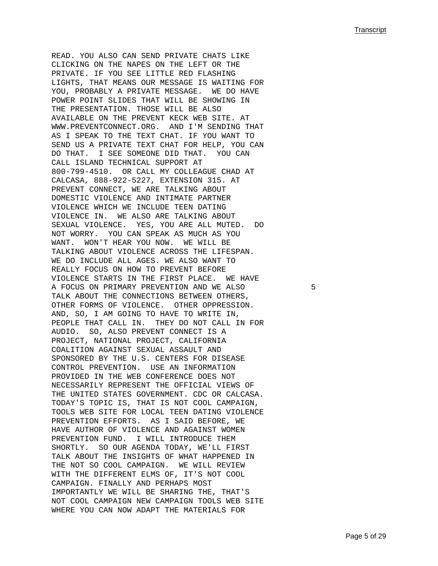READ. YOU ALSO CAN SEND PRIVATE CHATS LIKE CLICKING ON THE NAPES ON THE LEFT OR THE PRIVATE. IF YOU SEE LITTLE RED FLASHING LIGHTS, THAT MEANS OUR MESSAGE IS WAITING FOR YOU, PROBABLY A PRIVATE MESSAGE. WE DO HAVE POWER POINT SLIDES THAT WILL BE SHOWING IN THE PRESENTATION. THOSE WILL BE ALSO AVAILABLE ON THE PREVENT KECK WEB SITE. AT WWW.PREVENTCONNECT.ORG. AND I'M SENDING THAT AS I SPEAK TO THE TEXT CHAT. IF YOU WANT TO SEND US A PRIVATE TEXT CHAT FOR HELP, YOU CAN DO THAT. I SEE SOMEONE DID THAT. YOU CAN CALL ISLAND TECHNICAL SUPPORT AT 800-799-4510. OR CALL MY COLLEAGUE CHAD AT CALCASA, 888-922-5227, EXTENSION 315. AT PREVENT CONNECT, WE ARE TALKING ABOUT DOMESTIC VIOLENCE AND INTIMATE PARTNER VIOLENCE WHICH WE INCLUDE TEEN DATING VIOLENCE IN. WE ALSO ARE TALKING ABOUT SEXUAL VIOLENCE. YES, YOU ARE ALL MUTED. DO NOT WORRY. YOU CAN SPEAK AS MUCH AS YOU WANT. WON'T HEAR YOU NOW. WE WILL BE TALKING ABOUT VIOLENCE ACROSS THE LIFESPAN. WE DO INCLUDE ALL AGES. WE ALSO WANT TO REALLY FOCUS ON HOW TO PREVENT BEFORE VIOLENCE STARTS IN THE FIRST PLACE. WE HAVE A FOCUS ON PRIMARY PREVENTION AND WE ALSO  $5$ TALK ABOUT THE CONNECTIONS BETWEEN OTHERS, OTHER FORMS OF VIOLENCE. OTHER OPPRESSION. AND, SO, I AM GOING TO HAVE TO WRITE IN, PEOPLE THAT CALL IN. THEY DO NOT CALL IN FOR AUDIO. SO, ALSO PREVENT CONNECT IS A PROJECT, NATIONAL PROJECT, CALIFORNIA COALITION AGAINST SEXUAL ASSAULT AND SPONSORED BY THE U.S. CENTERS FOR DISEASE CONTROL PREVENTION. USE AN INFORMATION PROVIDED IN THE WEB CONFERENCE DOES NOT NECESSARILY REPRESENT THE OFFICIAL VIEWS OF THE UNITED STATES GOVERNMENT. CDC OR CALCASA. TODAY'S TOPIC IS, THAT IS NOT COOL CAMPAIGN, TOOLS WEB SITE FOR LOCAL TEEN DATING VIOLENCE PREVENTION EFFORTS. AS I SAID BEFORE, WE HAVE AUTHOR OF VIOLENCE AND AGAINST WOMEN PREVENTION FUND. I WILL INTRODUCE THEM SHORTLY. SO OUR AGENDA TODAY, WE'LL FIRST TALK ABOUT THE INSIGHTS OF WHAT HAPPENED IN THE NOT SO COOL CAMPAIGN. WE WILL REVIEW WITH THE DIFFERENT ELMS OF, IT'S NOT COOL CAMPAIGN. FINALLY AND PERHAPS MOST IMPORTANTLY WE WILL BE SHARING THE, THAT'S NOT COOL CAMPAIGN NEW CAMPAIGN TOOLS WEB SITE WHERE YOU CAN NOW ADAPT THE MATERIALS FOR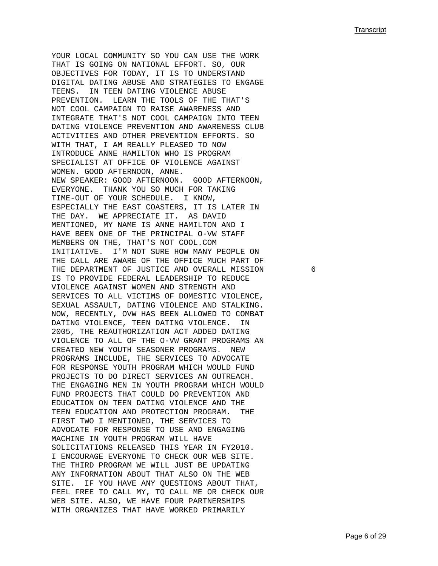YOUR LOCAL COMMUNITY SO YOU CAN USE THE WORK THAT IS GOING ON NATIONAL EFFORT. SO, OUR OBJECTIVES FOR TODAY, IT IS TO UNDERSTAND DIGITAL DATING ABUSE AND STRATEGIES TO ENGAGE TEENS. IN TEEN DATING VIOLENCE ABUSE PREVENTION. LEARN THE TOOLS OF THE THAT'S NOT COOL CAMPAIGN TO RAISE AWARENESS AND INTEGRATE THAT'S NOT COOL CAMPAIGN INTO TEEN DATING VIOLENCE PREVENTION AND AWARENESS CLUB ACTIVITIES AND OTHER PREVENTION EFFORTS. SO WITH THAT, I AM REALLY PLEASED TO NOW INTRODUCE ANNE HAMILTON WHO IS PROGRAM SPECIALIST AT OFFICE OF VIOLENCE AGAINST WOMEN. GOOD AFTERNOON, ANNE. NEW SPEAKER: GOOD AFTERNOON. GOOD AFTERNOON, EVERYONE. THANK YOU SO MUCH FOR TAKING TIME-OUT OF YOUR SCHEDULE. I KNOW, ESPECIALLY THE EAST COASTERS, IT IS LATER IN THE DAY. WE APPRECIATE IT. AS DAVID MENTIONED, MY NAME IS ANNE HAMILTON AND I HAVE BEEN ONE OF THE PRINCIPAL O-VW STAFF MEMBERS ON THE, THAT'S NOT COOL.COM INITIATIVE. I'M NOT SURE HOW MANY PEOPLE ON THE CALL ARE AWARE OF THE OFFICE MUCH PART OF THE DEPARTMENT OF JUSTICE AND OVERALL MISSION 6 IS TO PROVIDE FEDERAL LEADERSHIP TO REDUCE VIOLENCE AGAINST WOMEN AND STRENGTH AND SERVICES TO ALL VICTIMS OF DOMESTIC VIOLENCE, SEXUAL ASSAULT, DATING VIOLENCE AND STALKING. NOW, RECENTLY, OVW HAS BEEN ALLOWED TO COMBAT DATING VIOLENCE, TEEN DATING VIOLENCE. IN 2005, THE REAUTHORIZATION ACT ADDED DATING VIOLENCE TO ALL OF THE O-VW GRANT PROGRAMS AN CREATED NEW YOUTH SEASONER PROGRAMS. NEW PROGRAMS INCLUDE, THE SERVICES TO ADVOCATE FOR RESPONSE YOUTH PROGRAM WHICH WOULD FUND PROJECTS TO DO DIRECT SERVICES AN OUTREACH. THE ENGAGING MEN IN YOUTH PROGRAM WHICH WOULD FUND PROJECTS THAT COULD DO PREVENTION AND EDUCATION ON TEEN DATING VIOLENCE AND THE TEEN EDUCATION AND PROTECTION PROGRAM. THE FIRST TWO I MENTIONED, THE SERVICES TO ADVOCATE FOR RESPONSE TO USE AND ENGAGING MACHINE IN YOUTH PROGRAM WILL HAVE SOLICITATIONS RELEASED THIS YEAR IN FY2010. I ENCOURAGE EVERYONE TO CHECK OUR WEB SITE. THE THIRD PROGRAM WE WILL JUST BE UPDATING ANY INFORMATION ABOUT THAT ALSO ON THE WEB SITE. IF YOU HAVE ANY QUESTIONS ABOUT THAT, FEEL FREE TO CALL MY, TO CALL ME OR CHECK OUR WEB SITE. ALSO, WE HAVE FOUR PARTNERSHIPS WITH ORGANIZES THAT HAVE WORKED PRIMARILY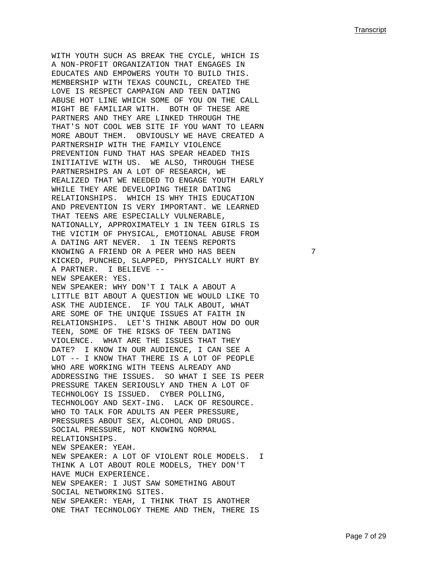WITH YOUTH SUCH AS BREAK THE CYCLE, WHICH IS A NON-PROFIT ORGANIZATION THAT ENGAGES IN EDUCATES AND EMPOWERS YOUTH TO BUILD THIS. MEMBERSHIP WITH TEXAS COUNCIL, CREATED THE LOVE IS RESPECT CAMPAIGN AND TEEN DATING ABUSE HOT LINE WHICH SOME OF YOU ON THE CALL MIGHT BE FAMILIAR WITH. BOTH OF THESE ARE PARTNERS AND THEY ARE LINKED THROUGH THE THAT'S NOT COOL WEB SITE IF YOU WANT TO LEARN MORE ABOUT THEM. OBVIOUSLY WE HAVE CREATED A PARTNERSHIP WITH THE FAMILY VIOLENCE PREVENTION FUND THAT HAS SPEAR HEADED THIS INITIATIVE WITH US. WE ALSO, THROUGH THESE PARTNERSHIPS AN A LOT OF RESEARCH, WE REALIZED THAT WE NEEDED TO ENGAGE YOUTH EARLY WHILE THEY ARE DEVELOPING THEIR DATING RELATIONSHIPS. WHICH IS WHY THIS EDUCATION AND PREVENTION IS VERY IMPORTANT. WE LEARNED THAT TEENS ARE ESPECIALLY VULNERABLE, NATIONALLY, APPROXIMATELY 1 IN TEEN GIRLS IS THE VICTIM OF PHYSICAL, EMOTIONAL ABUSE FROM A DATING ART NEVER. 1 IN TEENS REPORTS KNOWING A FRIEND OR A PEER WHO HAS BEEN 7 KICKED, PUNCHED, SLAPPED, PHYSICALLY HURT BY A PARTNER. I BELIEVE -- NEW SPEAKER: YES. NEW SPEAKER: WHY DON'T I TALK A ABOUT A LITTLE BIT ABOUT A QUESTION WE WOULD LIKE TO ASK THE AUDIENCE. IF YOU TALK ABOUT, WHAT ARE SOME OF THE UNIQUE ISSUES AT FAITH IN RELATIONSHIPS. LET'S THINK ABOUT HOW DO OUR TEEN, SOME OF THE RISKS OF TEEN DATING VIOLENCE. WHAT ARE THE ISSUES THAT THEY DATE? I KNOW IN OUR AUDIENCE, I CAN SEE A LOT -- I KNOW THAT THERE IS A LOT OF PEOPLE WHO ARE WORKING WITH TEENS ALREADY AND ADDRESSING THE ISSUES. SO WHAT I SEE IS PEER PRESSURE TAKEN SERIOUSLY AND THEN A LOT OF TECHNOLOGY IS ISSUED. CYBER POLLING, TECHNOLOGY AND SEXT-ING. LACK OF RESOURCE. WHO TO TALK FOR ADULTS AN PEER PRESSURE, PRESSURES ABOUT SEX, ALCOHOL AND DRUGS. SOCIAL PRESSURE, NOT KNOWING NORMAL RELATIONSHIPS. NEW SPEAKER: YEAH. NEW SPEAKER: A LOT OF VIOLENT ROLE MODELS. I THINK A LOT ABOUT ROLE MODELS, THEY DON'T HAVE MUCH EXPERIENCE. NEW SPEAKER: I JUST SAW SOMETHING ABOUT SOCIAL NETWORKING SITES. NEW SPEAKER: YEAH, I THINK THAT IS ANOTHER ONE THAT TECHNOLOGY THEME AND THEN, THERE IS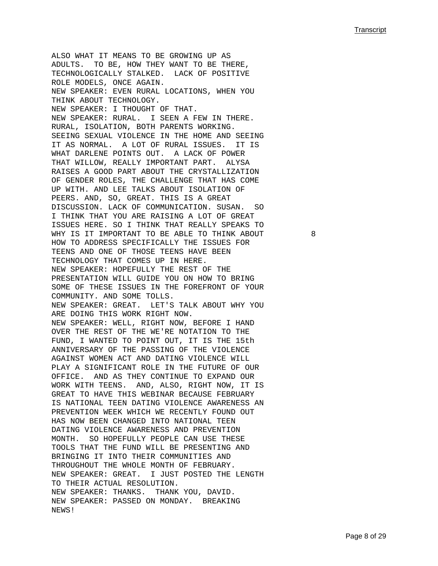ALSO WHAT IT MEANS TO BE GROWING UP AS ADULTS. TO BE, HOW THEY WANT TO BE THERE, TECHNOLOGICALLY STALKED. LACK OF POSITIVE ROLE MODELS, ONCE AGAIN. NEW SPEAKER: EVEN RURAL LOCATIONS, WHEN YOU THINK ABOUT TECHNOLOGY. NEW SPEAKER: I THOUGHT OF THAT. NEW SPEAKER: RURAL. I SEEN A FEW IN THERE. RURAL, ISOLATION, BOTH PARENTS WORKING. SEEING SEXUAL VIOLENCE IN THE HOME AND SEEING IT AS NORMAL. A LOT OF RURAL ISSUES. IT IS WHAT DARLENE POINTS OUT. A LACK OF POWER THAT WILLOW, REALLY IMPORTANT PART. ALYSA RAISES A GOOD PART ABOUT THE CRYSTALLIZATION OF GENDER ROLES, THE CHALLENGE THAT HAS COME UP WITH. AND LEE TALKS ABOUT ISOLATION OF PEERS. AND, SO, GREAT. THIS IS A GREAT DISCUSSION. LACK OF COMMUNICATION. SUSAN. SO I THINK THAT YOU ARE RAISING A LOT OF GREAT ISSUES HERE. SO I THINK THAT REALLY SPEAKS TO WHY IS IT IMPORTANT TO BE ABLE TO THINK ABOUT 8 HOW TO ADDRESS SPECIFICALLY THE ISSUES FOR TEENS AND ONE OF THOSE TEENS HAVE BEEN TECHNOLOGY THAT COMES UP IN HERE. NEW SPEAKER: HOPEFULLY THE REST OF THE PRESENTATION WILL GUIDE YOU ON HOW TO BRING SOME OF THESE ISSUES IN THE FOREFRONT OF YOUR COMMUNITY. AND SOME TOLLS. NEW SPEAKER: GREAT. LET'S TALK ABOUT WHY YOU ARE DOING THIS WORK RIGHT NOW. NEW SPEAKER: WELL, RIGHT NOW, BEFORE I HAND OVER THE REST OF THE WE'RE NOTATION TO THE FUND, I WANTED TO POINT OUT, IT IS THE 15th ANNIVERSARY OF THE PASSING OF THE VIOLENCE AGAINST WOMEN ACT AND DATING VIOLENCE WILL PLAY A SIGNIFICANT ROLE IN THE FUTURE OF OUR OFFICE. AND AS THEY CONTINUE TO EXPAND OUR WORK WITH TEENS. AND, ALSO, RIGHT NOW, IT IS GREAT TO HAVE THIS WEBINAR BECAUSE FEBRUARY IS NATIONAL TEEN DATING VIOLENCE AWARENESS AN PREVENTION WEEK WHICH WE RECENTLY FOUND OUT HAS NOW BEEN CHANGED INTO NATIONAL TEEN DATING VIOLENCE AWARENESS AND PREVENTION MONTH. SO HOPEFULLY PEOPLE CAN USE THESE TOOLS THAT THE FUND WILL BE PRESENTING AND BRINGING IT INTO THEIR COMMUNITIES AND THROUGHOUT THE WHOLE MONTH OF FEBRUARY. NEW SPEAKER: GREAT. I JUST POSTED THE LENGTH TO THEIR ACTUAL RESOLUTION. NEW SPEAKER: THANKS. THANK YOU, DAVID. NEW SPEAKER: PASSED ON MONDAY. BREAKING NEWS!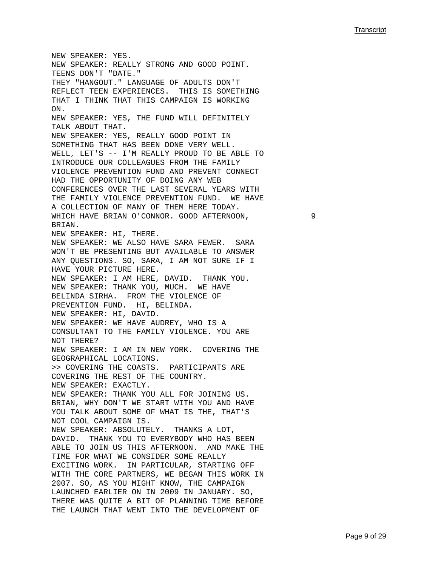NEW SPEAKER: YES. NEW SPEAKER: REALLY STRONG AND GOOD POINT. TEENS DON'T "DATE." THEY "HANGOUT." LANGUAGE OF ADULTS DON'T REFLECT TEEN EXPERIENCES. THIS IS SOMETHING THAT I THINK THAT THIS CAMPAIGN IS WORKING ON. NEW SPEAKER: YES, THE FUND WILL DEFINITELY TALK ABOUT THAT. NEW SPEAKER: YES, REALLY GOOD POINT IN SOMETHING THAT HAS BEEN DONE VERY WELL. WELL, LET'S -- I'M REALLY PROUD TO BE ABLE TO INTRODUCE OUR COLLEAGUES FROM THE FAMILY VIOLENCE PREVENTION FUND AND PREVENT CONNECT HAD THE OPPORTUNITY OF DOING ANY WEB CONFERENCES OVER THE LAST SEVERAL YEARS WITH THE FAMILY VIOLENCE PREVENTION FUND. WE HAVE A COLLECTION OF MANY OF THEM HERE TODAY. WHICH HAVE BRIAN O'CONNOR. GOOD AFTERNOON, 9 BRIAN. NEW SPEAKER: HI, THERE. NEW SPEAKER: WE ALSO HAVE SARA FEWER. SARA WON'T BE PRESENTING BUT AVAILABLE TO ANSWER ANY QUESTIONS. SO, SARA, I AM NOT SURE IF I HAVE YOUR PICTURE HERE. NEW SPEAKER: I AM HERE, DAVID. THANK YOU. NEW SPEAKER: THANK YOU, MUCH. WE HAVE BELINDA SIRHA. FROM THE VIOLENCE OF PREVENTION FUND. HI, BELINDA. NEW SPEAKER: HI, DAVID. NEW SPEAKER: WE HAVE AUDREY, WHO IS A CONSULTANT TO THE FAMILY VIOLENCE. YOU ARE NOT THERE? NEW SPEAKER: I AM IN NEW YORK. COVERING THE GEOGRAPHICAL LOCATIONS. >> COVERING THE COASTS. PARTICIPANTS ARE COVERING THE REST OF THE COUNTRY. NEW SPEAKER: EXACTLY. NEW SPEAKER: THANK YOU ALL FOR JOINING US. BRIAN, WHY DON'T WE START WITH YOU AND HAVE YOU TALK ABOUT SOME OF WHAT IS THE, THAT'S NOT COOL CAMPAIGN IS. NEW SPEAKER: ABSOLUTELY. THANKS A LOT, DAVID. THANK YOU TO EVERYBODY WHO HAS BEEN ABLE TO JOIN US THIS AFTERNOON. AND MAKE THE TIME FOR WHAT WE CONSIDER SOME REALLY EXCITING WORK. IN PARTICULAR, STARTING OFF WITH THE CORE PARTNERS, WE BEGAN THIS WORK IN 2007. SO, AS YOU MIGHT KNOW, THE CAMPAIGN LAUNCHED EARLIER ON IN 2009 IN JANUARY. SO, THERE WAS QUITE A BIT OF PLANNING TIME BEFORE THE LAUNCH THAT WENT INTO THE DEVELOPMENT OF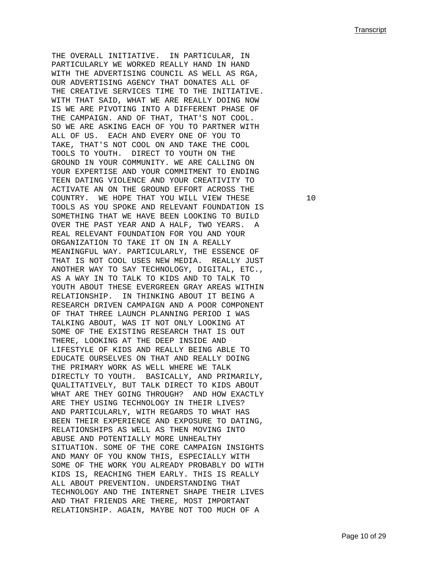THE OVERALL INITIATIVE. IN PARTICULAR, IN PARTICULARLY WE WORKED REALLY HAND IN HAND WITH THE ADVERTISING COUNCIL AS WELL AS RGA, OUR ADVERTISING AGENCY THAT DONATES ALL OF THE CREATIVE SERVICES TIME TO THE INITIATIVE. WITH THAT SAID, WHAT WE ARE REALLY DOING NOW IS WE ARE PIVOTING INTO A DIFFERENT PHASE OF THE CAMPAIGN. AND OF THAT, THAT'S NOT COOL. SO WE ARE ASKING EACH OF YOU TO PARTNER WITH ALL OF US. EACH AND EVERY ONE OF YOU TO TAKE, THAT'S NOT COOL ON AND TAKE THE COOL TOOLS TO YOUTH. DIRECT TO YOUTH ON THE GROUND IN YOUR COMMUNITY. WE ARE CALLING ON YOUR EXPERTISE AND YOUR COMMITMENT TO ENDING TEEN DATING VIOLENCE AND YOUR CREATIVITY TO ACTIVATE AN ON THE GROUND EFFORT ACROSS THE COUNTRY. WE HOPE THAT YOU WILL VIEW THESE 10 TOOLS AS YOU SPOKE AND RELEVANT FOUNDATION IS SOMETHING THAT WE HAVE BEEN LOOKING TO BUILD OVER THE PAST YEAR AND A HALF, TWO YEARS. A REAL RELEVANT FOUNDATION FOR YOU AND YOUR ORGANIZATION TO TAKE IT ON IN A REALLY MEANINGFUL WAY. PARTICULARLY, THE ESSENCE OF THAT IS NOT COOL USES NEW MEDIA. REALLY JUST ANOTHER WAY TO SAY TECHNOLOGY, DIGITAL, ETC., AS A WAY IN TO TALK TO KIDS AND TO TALK TO YOUTH ABOUT THESE EVERGREEN GRAY AREAS WITHIN RELATIONSHIP. IN THINKING ABOUT IT BEING A RESEARCH DRIVEN CAMPAIGN AND A POOR COMPONENT OF THAT THREE LAUNCH PLANNING PERIOD I WAS TALKING ABOUT, WAS IT NOT ONLY LOOKING AT SOME OF THE EXISTING RESEARCH THAT IS OUT THERE, LOOKING AT THE DEEP INSIDE AND LIFESTYLE OF KIDS AND REALLY BEING ABLE TO EDUCATE OURSELVES ON THAT AND REALLY DOING THE PRIMARY WORK AS WELL WHERE WE TALK DIRECTLY TO YOUTH. BASICALLY, AND PRIMARILY, QUALITATIVELY, BUT TALK DIRECT TO KIDS ABOUT WHAT ARE THEY GOING THROUGH? AND HOW EXACTLY ARE THEY USING TECHNOLOGY IN THEIR LIVES? AND PARTICULARLY, WITH REGARDS TO WHAT HAS BEEN THEIR EXPERIENCE AND EXPOSURE TO DATING, RELATIONSHIPS AS WELL AS THEN MOVING INTO ABUSE AND POTENTIALLY MORE UNHEALTHY SITUATION. SOME OF THE CORE CAMPAIGN INSIGHTS AND MANY OF YOU KNOW THIS, ESPECIALLY WITH SOME OF THE WORK YOU ALREADY PROBABLY DO WITH KIDS IS, REACHING THEM EARLY. THIS IS REALLY ALL ABOUT PREVENTION. UNDERSTANDING THAT TECHNOLOGY AND THE INTERNET SHAPE THEIR LIVES AND THAT FRIENDS ARE THERE, MOST IMPORTANT RELATIONSHIP. AGAIN, MAYBE NOT TOO MUCH OF A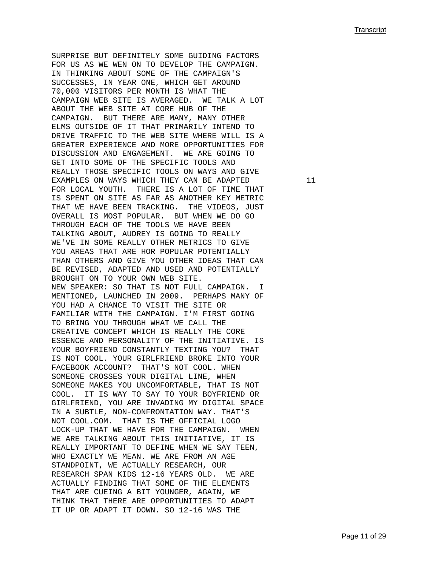SURPRISE BUT DEFINITELY SOME GUIDING FACTORS FOR US AS WE WEN ON TO DEVELOP THE CAMPAIGN. IN THINKING ABOUT SOME OF THE CAMPAIGN'S SUCCESSES, IN YEAR ONE, WHICH GET AROUND 70,000 VISITORS PER MONTH IS WHAT THE CAMPAIGN WEB SITE IS AVERAGED. WE TALK A LOT ABOUT THE WEB SITE AT CORE HUB OF THE CAMPAIGN. BUT THERE ARE MANY, MANY OTHER ELMS OUTSIDE OF IT THAT PRIMARILY INTEND TO DRIVE TRAFFIC TO THE WEB SITE WHERE WILL IS A GREATER EXPERIENCE AND MORE OPPORTUNITIES FOR DISCUSSION AND ENGAGEMENT. WE ARE GOING TO GET INTO SOME OF THE SPECIFIC TOOLS AND REALLY THOSE SPECIFIC TOOLS ON WAYS AND GIVE EXAMPLES ON WAYS WHICH THEY CAN BE ADAPTED 11 FOR LOCAL YOUTH. THERE IS A LOT OF TIME THAT IS SPENT ON SITE AS FAR AS ANOTHER KEY METRIC THAT WE HAVE BEEN TRACKING. THE VIDEOS, JUST OVERALL IS MOST POPULAR. BUT WHEN WE DO GO THROUGH EACH OF THE TOOLS WE HAVE BEEN TALKING ABOUT, AUDREY IS GOING TO REALLY WE'VE IN SOME REALLY OTHER METRICS TO GIVE YOU AREAS THAT ARE HOR POPULAR POTENTIALLY THAN OTHERS AND GIVE YOU OTHER IDEAS THAT CAN BE REVISED, ADAPTED AND USED AND POTENTIALLY BROUGHT ON TO YOUR OWN WEB SITE. NEW SPEAKER: SO THAT IS NOT FULL CAMPAIGN. I MENTIONED, LAUNCHED IN 2009. PERHAPS MANY OF YOU HAD A CHANCE TO VISIT THE SITE OR FAMILIAR WITH THE CAMPAIGN. I'M FIRST GOING TO BRING YOU THROUGH WHAT WE CALL THE CREATIVE CONCEPT WHICH IS REALLY THE CORE ESSENCE AND PERSONALITY OF THE INITIATIVE. IS YOUR BOYFRIEND CONSTANTLY TEXTING YOU? THAT IS NOT COOL. YOUR GIRLFRIEND BROKE INTO YOUR FACEBOOK ACCOUNT? THAT'S NOT COOL. WHEN SOMEONE CROSSES YOUR DIGITAL LINE, WHEN SOMEONE MAKES YOU UNCOMFORTABLE, THAT IS NOT COOL. IT IS WAY TO SAY TO YOUR BOYFRIEND OR GIRLFRIEND, YOU ARE INVADING MY DIGITAL SPACE IN A SUBTLE, NON-CONFRONTATION WAY. THAT'S NOT COOL.COM. THAT IS THE OFFICIAL LOGO LOCK-UP THAT WE HAVE FOR THE CAMPAIGN. WHEN WE ARE TALKING ABOUT THIS INITIATIVE, IT IS REALLY IMPORTANT TO DEFINE WHEN WE SAY TEEN, WHO EXACTLY WE MEAN. WE ARE FROM AN AGE STANDPOINT, WE ACTUALLY RESEARCH, OUR RESEARCH SPAN KIDS 12-16 YEARS OLD. WE ARE ACTUALLY FINDING THAT SOME OF THE ELEMENTS THAT ARE CUEING A BIT YOUNGER, AGAIN, WE THINK THAT THERE ARE OPPORTUNITIES TO ADAPT IT UP OR ADAPT IT DOWN. SO 12-16 WAS THE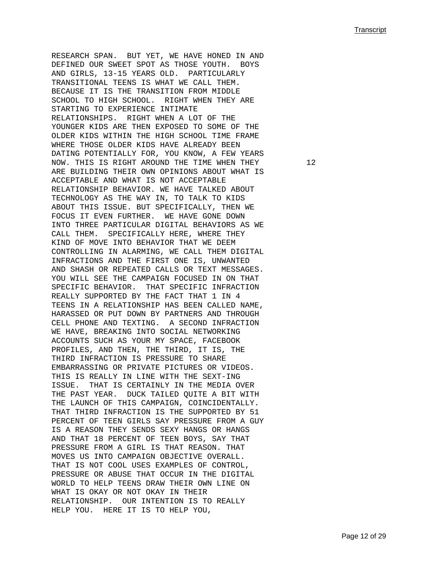RESEARCH SPAN. BUT YET, WE HAVE HONED IN AND DEFINED OUR SWEET SPOT AS THOSE YOUTH. BOYS AND GIRLS, 13-15 YEARS OLD. PARTICULARLY TRANSITIONAL TEENS IS WHAT WE CALL THEM. BECAUSE IT IS THE TRANSITION FROM MIDDLE SCHOOL TO HIGH SCHOOL. RIGHT WHEN THEY ARE STARTING TO EXPERIENCE INTIMATE RELATIONSHIPS. RIGHT WHEN A LOT OF THE YOUNGER KIDS ARE THEN EXPOSED TO SOME OF THE OLDER KIDS WITHIN THE HIGH SCHOOL TIME FRAME WHERE THOSE OLDER KIDS HAVE ALREADY BEEN DATING POTENTIALLY FOR, YOU KNOW, A FEW YEARS NOW. THIS IS RIGHT AROUND THE TIME WHEN THEY 12 ARE BUILDING THEIR OWN OPINIONS ABOUT WHAT IS ACCEPTABLE AND WHAT IS NOT ACCEPTABLE RELATIONSHIP BEHAVIOR. WE HAVE TALKED ABOUT TECHNOLOGY AS THE WAY IN, TO TALK TO KIDS ABOUT THIS ISSUE. BUT SPECIFICALLY, THEN WE FOCUS IT EVEN FURTHER. WE HAVE GONE DOWN INTO THREE PARTICULAR DIGITAL BEHAVIORS AS WE CALL THEM. SPECIFICALLY HERE, WHERE THEY KIND OF MOVE INTO BEHAVIOR THAT WE DEEM CONTROLLING IN ALARMING, WE CALL THEM DIGITAL INFRACTIONS AND THE FIRST ONE IS, UNWANTED AND SHASH OR REPEATED CALLS OR TEXT MESSAGES. YOU WILL SEE THE CAMPAIGN FOCUSED IN ON THAT SPECIFIC BEHAVIOR. THAT SPECIFIC INFRACTION REALLY SUPPORTED BY THE FACT THAT 1 IN 4 TEENS IN A RELATIONSHIP HAS BEEN CALLED NAME, HARASSED OR PUT DOWN BY PARTNERS AND THROUGH CELL PHONE AND TEXTING. A SECOND INFRACTION WE HAVE, BREAKING INTO SOCIAL NETWORKING ACCOUNTS SUCH AS YOUR MY SPACE, FACEBOOK PROFILES, AND THEN, THE THIRD, IT IS, THE THIRD INFRACTION IS PRESSURE TO SHARE EMBARRASSING OR PRIVATE PICTURES OR VIDEOS. THIS IS REALLY IN LINE WITH THE SEXT-ING ISSUE. THAT IS CERTAINLY IN THE MEDIA OVER THE PAST YEAR. DUCK TAILED QUITE A BIT WITH THE LAUNCH OF THIS CAMPAIGN, COINCIDENTALLY. THAT THIRD INFRACTION IS THE SUPPORTED BY 51 PERCENT OF TEEN GIRLS SAY PRESSURE FROM A GUY IS A REASON THEY SENDS SEXY HANGS OR HANGS AND THAT 18 PERCENT OF TEEN BOYS, SAY THAT PRESSURE FROM A GIRL IS THAT REASON. THAT MOVES US INTO CAMPAIGN OBJECTIVE OVERALL. THAT IS NOT COOL USES EXAMPLES OF CONTROL, PRESSURE OR ABUSE THAT OCCUR IN THE DIGITAL WORLD TO HELP TEENS DRAW THEIR OWN LINE ON WHAT IS OKAY OR NOT OKAY IN THEIR RELATIONSHIP. OUR INTENTION IS TO REALLY HELP YOU. HERE IT IS TO HELP YOU,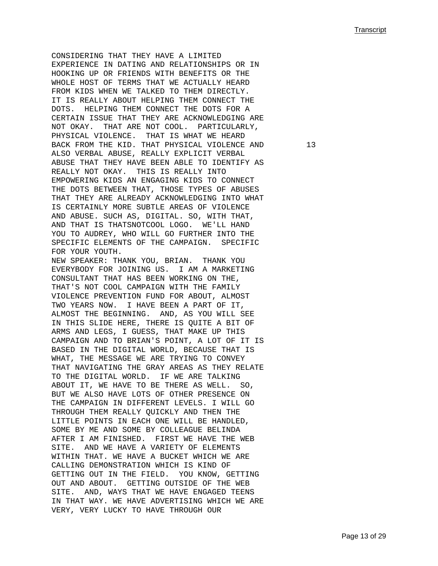CONSIDERING THAT THEY HAVE A LIMITED EXPERIENCE IN DATING AND RELATIONSHIPS OR IN HOOKING UP OR FRIENDS WITH BENEFITS OR THE WHOLE HOST OF TERMS THAT WE ACTUALLY HEARD FROM KIDS WHEN WE TALKED TO THEM DIRECTLY. IT IS REALLY ABOUT HELPING THEM CONNECT THE DOTS. HELPING THEM CONNECT THE DOTS FOR A CERTAIN ISSUE THAT THEY ARE ACKNOWLEDGING ARE NOT OKAY. THAT ARE NOT COOL. PARTICULARLY, PHYSICAL VIOLENCE. THAT IS WHAT WE HEARD BACK FROM THE KID. THAT PHYSICAL VIOLENCE AND 13 ALSO VERBAL ABUSE, REALLY EXPLICIT VERBAL ABUSE THAT THEY HAVE BEEN ABLE TO IDENTIFY AS REALLY NOT OKAY. THIS IS REALLY INTO EMPOWERING KIDS AN ENGAGING KIDS TO CONNECT THE DOTS BETWEEN THAT, THOSE TYPES OF ABUSES THAT THEY ARE ALREADY ACKNOWLEDGING INTO WHAT IS CERTAINLY MORE SUBTLE AREAS OF VIOLENCE AND ABUSE. SUCH AS, DIGITAL. SO, WITH THAT, AND THAT IS THATSNOTCOOL LOGO. WE'LL HAND YOU TO AUDREY, WHO WILL GO FURTHER INTO THE SPECIFIC ELEMENTS OF THE CAMPAIGN. SPECIFIC FOR YOUR YOUTH. NEW SPEAKER: THANK YOU, BRIAN. THANK YOU EVERYBODY FOR JOINING US. I AM A MARKETING CONSULTANT THAT HAS BEEN WORKING ON THE, THAT'S NOT COOL CAMPAIGN WITH THE FAMILY VIOLENCE PREVENTION FUND FOR ABOUT, ALMOST TWO YEARS NOW. I HAVE BEEN A PART OF IT, ALMOST THE BEGINNING. AND, AS YOU WILL SEE IN THIS SLIDE HERE, THERE IS QUITE A BIT OF ARMS AND LEGS, I GUESS, THAT MAKE UP THIS CAMPAIGN AND TO BRIAN'S POINT, A LOT OF IT IS BASED IN THE DIGITAL WORLD, BECAUSE THAT IS WHAT, THE MESSAGE WE ARE TRYING TO CONVEY THAT NAVIGATING THE GRAY AREAS AS THEY RELATE TO THE DIGITAL WORLD. IF WE ARE TALKING ABOUT IT, WE HAVE TO BE THERE AS WELL. SO, BUT WE ALSO HAVE LOTS OF OTHER PRESENCE ON THE CAMPAIGN IN DIFFERENT LEVELS. I WILL GO THROUGH THEM REALLY QUICKLY AND THEN THE LITTLE POINTS IN EACH ONE WILL BE HANDLED, SOME BY ME AND SOME BY COLLEAGUE BELINDA AFTER I AM FINISHED. FIRST WE HAVE THE WEB SITE. AND WE HAVE A VARIETY OF ELEMENTS WITHIN THAT. WE HAVE A BUCKET WHICH WE ARE CALLING DEMONSTRATION WHICH IS KIND OF GETTING OUT IN THE FIELD. YOU KNOW, GETTING OUT AND ABOUT. GETTING OUTSIDE OF THE WEB SITE. AND, WAYS THAT WE HAVE ENGAGED TEENS IN THAT WAY. WE HAVE ADVERTISING WHICH WE ARE VERY, VERY LUCKY TO HAVE THROUGH OUR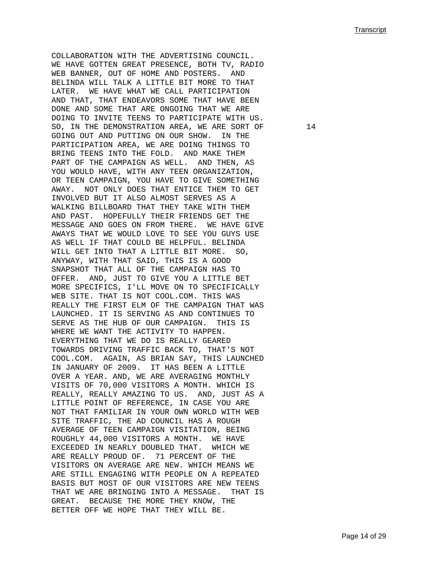COLLABORATION WITH THE ADVERTISING COUNCIL. WE HAVE GOTTEN GREAT PRESENCE, BOTH TV, RADIO WEB BANNER, OUT OF HOME AND POSTERS. AND BELINDA WILL TALK A LITTLE BIT MORE TO THAT LATER. WE HAVE WHAT WE CALL PARTICIPATION AND THAT, THAT ENDEAVORS SOME THAT HAVE BEEN DONE AND SOME THAT ARE ONGOING THAT WE ARE DOING TO INVITE TEENS TO PARTICIPATE WITH US. SO, IN THE DEMONSTRATION AREA, WE ARE SORT OF  $14$ GOING OUT AND PUTTING ON OUR SHOW. IN THE PARTICIPATION AREA, WE ARE DOING THINGS TO BRING TEENS INTO THE FOLD. AND MAKE THEM PART OF THE CAMPAIGN AS WELL. AND THEN, AS YOU WOULD HAVE, WITH ANY TEEN ORGANIZATION, OR TEEN CAMPAIGN, YOU HAVE TO GIVE SOMETHING AWAY. NOT ONLY DOES THAT ENTICE THEM TO GET INVOLVED BUT IT ALSO ALMOST SERVES AS A WALKING BILLBOARD THAT THEY TAKE WITH THEM AND PAST. HOPEFULLY THEIR FRIENDS GET THE MESSAGE AND GOES ON FROM THERE. WE HAVE GIVE AWAYS THAT WE WOULD LOVE TO SEE YOU GUYS USE AS WELL IF THAT COULD BE HELPFUL. BELINDA WILL GET INTO THAT A LITTLE BIT MORE. SO, ANYWAY, WITH THAT SAID, THIS IS A GOOD SNAPSHOT THAT ALL OF THE CAMPAIGN HAS TO OFFER. AND, JUST TO GIVE YOU A LITTLE BET MORE SPECIFICS, I'LL MOVE ON TO SPECIFICALLY WEB SITE. THAT IS NOT COOL.COM. THIS WAS REALLY THE FIRST ELM OF THE CAMPAIGN THAT WAS LAUNCHED. IT IS SERVING AS AND CONTINUES TO SERVE AS THE HUB OF OUR CAMPAIGN. THIS IS WHERE WE WANT THE ACTIVITY TO HAPPEN. EVERYTHING THAT WE DO IS REALLY GEARED TOWARDS DRIVING TRAFFIC BACK TO, THAT'S NOT COOL.COM. AGAIN, AS BRIAN SAY, THIS LAUNCHED IN JANUARY OF 2009. IT HAS BEEN A LITTLE OVER A YEAR. AND, WE ARE AVERAGING MONTHLY VISITS OF 70,000 VISITORS A MONTH. WHICH IS REALLY, REALLY AMAZING TO US. AND, JUST AS A LITTLE POINT OF REFERENCE, IN CASE YOU ARE NOT THAT FAMILIAR IN YOUR OWN WORLD WITH WEB SITE TRAFFIC, THE AD COUNCIL HAS A ROUGH AVERAGE OF TEEN CAMPAIGN VISITATION, BEING ROUGHLY 44,000 VISITORS A MONTH. WE HAVE EXCEEDED IN NEARLY DOUBLED THAT. WHICH WE ARE REALLY PROUD OF. 71 PERCENT OF THE VISITORS ON AVERAGE ARE NEW. WHICH MEANS WE ARE STILL ENGAGING WITH PEOPLE ON A REPEATED BASIS BUT MOST OF OUR VISITORS ARE NEW TEENS THAT WE ARE BRINGING INTO A MESSAGE. THAT IS GREAT. BECAUSE THE MORE THEY KNOW, THE BETTER OFF WE HOPE THAT THEY WILL BE.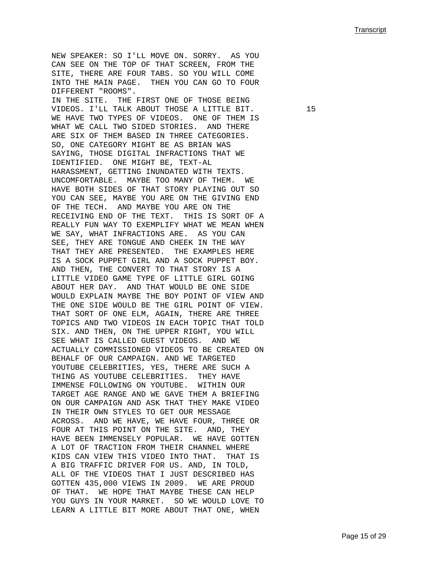NEW SPEAKER: SO I'LL MOVE ON. SORRY. AS YOU CAN SEE ON THE TOP OF THAT SCREEN, FROM THE SITE, THERE ARE FOUR TABS. SO YOU WILL COME INTO THE MAIN PAGE. THEN YOU CAN GO TO FOUR DIFFERENT "ROOMS". IN THE SITE. THE FIRST ONE OF THOSE BEING VIDEOS. I'LL TALK ABOUT THOSE A LITTLE BIT. 15 WE HAVE TWO TYPES OF VIDEOS. ONE OF THEM IS WHAT WE CALL TWO SIDED STORIES. AND THERE ARE SIX OF THEM BASED IN THREE CATEGORIES. SO, ONE CATEGORY MIGHT BE AS BRIAN WAS SAYING, THOSE DIGITAL INFRACTIONS THAT WE IDENTIFIED. ONE MIGHT BE, TEXT-AL HARASSMENT, GETTING INUNDATED WITH TEXTS. UNCOMFORTABLE. MAYBE TOO MANY OF THEM. WE HAVE BOTH SIDES OF THAT STORY PLAYING OUT SO YOU CAN SEE, MAYBE YOU ARE ON THE GIVING END OF THE TECH. AND MAYBE YOU ARE ON THE RECEIVING END OF THE TEXT. THIS IS SORT OF A REALLY FUN WAY TO EXEMPLIFY WHAT WE MEAN WHEN WE SAY, WHAT INFRACTIONS ARE. AS YOU CAN SEE, THEY ARE TONGUE AND CHEEK IN THE WAY THAT THEY ARE PRESENTED. THE EXAMPLES HERE IS A SOCK PUPPET GIRL AND A SOCK PUPPET BOY. AND THEN, THE CONVERT TO THAT STORY IS A LITTLE VIDEO GAME TYPE OF LITTLE GIRL GOING ABOUT HER DAY. AND THAT WOULD BE ONE SIDE WOULD EXPLAIN MAYBE THE BOY POINT OF VIEW AND THE ONE SIDE WOULD BE THE GIRL POINT OF VIEW. THAT SORT OF ONE ELM, AGAIN, THERE ARE THREE TOPICS AND TWO VIDEOS IN EACH TOPIC THAT TOLD SIX. AND THEN, ON THE UPPER RIGHT, YOU WILL SEE WHAT IS CALLED GUEST VIDEOS. AND WE ACTUALLY COMMISSIONED VIDEOS TO BE CREATED ON BEHALF OF OUR CAMPAIGN. AND WE TARGETED YOUTUBE CELEBRITIES, YES, THERE ARE SUCH A THING AS YOUTUBE CELEBRITIES. THEY HAVE IMMENSE FOLLOWING ON YOUTUBE. WITHIN OUR TARGET AGE RANGE AND WE GAVE THEM A BRIEFING ON OUR CAMPAIGN AND ASK THAT THEY MAKE VIDEO IN THEIR OWN STYLES TO GET OUR MESSAGE ACROSS. AND WE HAVE, WE HAVE FOUR, THREE OR FOUR AT THIS POINT ON THE SITE. AND, THEY HAVE BEEN IMMENSELY POPULAR. WE HAVE GOTTEN A LOT OF TRACTION FROM THEIR CHANNEL WHERE KIDS CAN VIEW THIS VIDEO INTO THAT. THAT IS A BIG TRAFFIC DRIVER FOR US. AND, IN TOLD, ALL OF THE VIDEOS THAT I JUST DESCRIBED HAS GOTTEN 435,000 VIEWS IN 2009. WE ARE PROUD OF THAT. WE HOPE THAT MAYBE THESE CAN HELP YOU GUYS IN YOUR MARKET. SO WE WOULD LOVE TO LEARN A LITTLE BIT MORE ABOUT THAT ONE, WHEN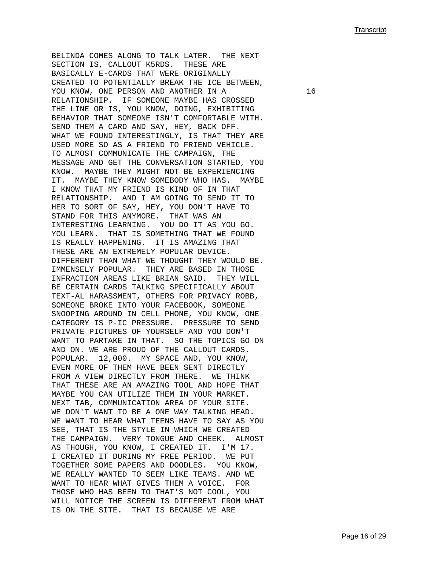BELINDA COMES ALONG TO TALK LATER. THE NEXT SECTION IS, CALLOUT K5RDS. THESE ARE BASICALLY E-CARDS THAT WERE ORIGINALLY CREATED TO POTENTIALLY BREAK THE ICE BETWEEN, YOU KNOW, ONE PERSON AND ANOTHER IN A 16 RELATIONSHIP. IF SOMEONE MAYBE HAS CROSSED THE LINE OR IS, YOU KNOW, DOING, EXHIBITING BEHAVIOR THAT SOMEONE ISN'T COMFORTABLE WITH. SEND THEM A CARD AND SAY, HEY, BACK OFF. WHAT WE FOUND INTERESTINGLY, IS THAT THEY ARE USED MORE SO AS A FRIEND TO FRIEND VEHICLE. TO ALMOST COMMUNICATE THE CAMPAIGN, THE MESSAGE AND GET THE CONVERSATION STARTED, YOU KNOW. MAYBE THEY MIGHT NOT BE EXPERIENCING IT. MAYBE THEY KNOW SOMEBODY WHO HAS. MAYBE I KNOW THAT MY FRIEND IS KIND OF IN THAT RELATIONSHIP. AND I AM GOING TO SEND IT TO HER TO SORT OF SAY, HEY, YOU DON'T HAVE TO STAND FOR THIS ANYMORE. THAT WAS AN INTERESTING LEARNING. YOU DO IT AS YOU GO. YOU LEARN. THAT IS SOMETHING THAT WE FOUND IS REALLY HAPPENING. IT IS AMAZING THAT THESE ARE AN EXTREMELY POPULAR DEVICE. DIFFERENT THAN WHAT WE THOUGHT THEY WOULD BE. IMMENSELY POPULAR. THEY ARE BASED IN THOSE INFRACTION AREAS LIKE BRIAN SAID. THEY WILL BE CERTAIN CARDS TALKING SPECIFICALLY ABOUT TEXT-AL HARASSMENT, OTHERS FOR PRIVACY ROBB, SOMEONE BROKE INTO YOUR FACEBOOK, SOMEONE SNOOPING AROUND IN CELL PHONE, YOU KNOW, ONE CATEGORY IS P-IC PRESSURE. PRESSURE TO SEND PRIVATE PICTURES OF YOURSELF AND YOU DON'T WANT TO PARTAKE IN THAT. SO THE TOPICS GO ON AND ON. WE ARE PROUD OF THE CALLOUT CARDS. POPULAR. 12,000. MY SPACE AND, YOU KNOW, EVEN MORE OF THEM HAVE BEEN SENT DIRECTLY FROM A VIEW DIRECTLY FROM THERE. WE THINK THAT THESE ARE AN AMAZING TOOL AND HOPE THAT MAYBE YOU CAN UTILIZE THEM IN YOUR MARKET. NEXT TAB, COMMUNICATION AREA OF YOUR SITE. WE DON'T WANT TO BE A ONE WAY TALKING HEAD. WE WANT TO HEAR WHAT TEENS HAVE TO SAY AS YOU SEE, THAT IS THE STYLE IN WHICH WE CREATED THE CAMPAIGN. VERY TONGUE AND CHEEK. ALMOST AS THOUGH, YOU KNOW, I CREATED IT. I'M 17. I CREATED IT DURING MY FREE PERIOD. WE PUT TOGETHER SOME PAPERS AND DOODLES. YOU KNOW, WE REALLY WANTED TO SEEM LIKE TEAMS. AND WE WANT TO HEAR WHAT GIVES THEM A VOICE. FOR THOSE WHO HAS BEEN TO THAT'S NOT COOL, YOU WILL NOTICE THE SCREEN IS DIFFERENT FROM WHAT IS ON THE SITE. THAT IS BECAUSE WE ARE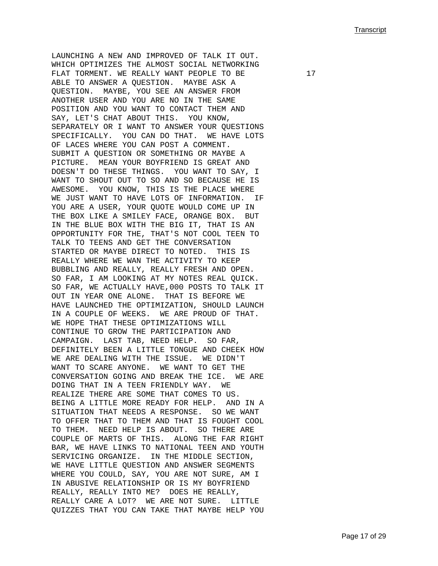LAUNCHING A NEW AND IMPROVED OF TALK IT OUT. WHICH OPTIMIZES THE ALMOST SOCIAL NETWORKING FLAT TORMENT. WE REALLY WANT PEOPLE TO BE  $17$ ABLE TO ANSWER A QUESTION. MAYBE ASK A QUESTION. MAYBE, YOU SEE AN ANSWER FROM ANOTHER USER AND YOU ARE NO IN THE SAME POSITION AND YOU WANT TO CONTACT THEM AND SAY, LET'S CHAT ABOUT THIS. YOU KNOW, SEPARATELY OR I WANT TO ANSWER YOUR QUESTIONS SPECIFICALLY. YOU CAN DO THAT. WE HAVE LOTS OF LACES WHERE YOU CAN POST A COMMENT. SUBMIT A QUESTION OR SOMETHING OR MAYBE A PICTURE. MEAN YOUR BOYFRIEND IS GREAT AND DOESN'T DO THESE THINGS. YOU WANT TO SAY, I WANT TO SHOUT OUT TO SO AND SO BECAUSE HE IS AWESOME. YOU KNOW, THIS IS THE PLACE WHERE WE JUST WANT TO HAVE LOTS OF INFORMATION. IF YOU ARE A USER, YOUR QUOTE WOULD COME UP IN THE BOX LIKE A SMILEY FACE, ORANGE BOX. BUT IN THE BLUE BOX WITH THE BIG IT, THAT IS AN OPPORTUNITY FOR THE, THAT'S NOT COOL TEEN TO TALK TO TEENS AND GET THE CONVERSATION STARTED OR MAYBE DIRECT TO NOTED. THIS IS REALLY WHERE WE WAN THE ACTIVITY TO KEEP BUBBLING AND REALLY, REALLY FRESH AND OPEN. SO FAR, I AM LOOKING AT MY NOTES REAL QUICK. SO FAR, WE ACTUALLY HAVE,000 POSTS TO TALK IT OUT IN YEAR ONE ALONE. THAT IS BEFORE WE HAVE LAUNCHED THE OPTIMIZATION, SHOULD LAUNCH IN A COUPLE OF WEEKS. WE ARE PROUD OF THAT. WE HOPE THAT THESE OPTIMIZATIONS WILL CONTINUE TO GROW THE PARTICIPATION AND CAMPAIGN. LAST TAB, NEED HELP. SO FAR, DEFINITELY BEEN A LITTLE TONGUE AND CHEEK HOW WE ARE DEALING WITH THE ISSUE. WE DIDN'T WANT TO SCARE ANYONE. WE WANT TO GET THE CONVERSATION GOING AND BREAK THE ICE. WE ARE DOING THAT IN A TEEN FRIENDLY WAY. WE REALIZE THERE ARE SOME THAT COMES TO US. BEING A LITTLE MORE READY FOR HELP. AND IN A SITUATION THAT NEEDS A RESPONSE. SO WE WANT TO OFFER THAT TO THEM AND THAT IS FOUGHT COOL TO THEM. NEED HELP IS ABOUT. SO THERE ARE COUPLE OF MARTS OF THIS. ALONG THE FAR RIGHT BAR, WE HAVE LINKS TO NATIONAL TEEN AND YOUTH SERVICING ORGANIZE. IN THE MIDDLE SECTION, WE HAVE LITTLE QUESTION AND ANSWER SEGMENTS WHERE YOU COULD, SAY, YOU ARE NOT SURE, AM I IN ABUSIVE RELATIONSHIP OR IS MY BOYFRIEND REALLY, REALLY INTO ME? DOES HE REALLY, REALLY CARE A LOT? WE ARE NOT SURE. LITTLE QUIZZES THAT YOU CAN TAKE THAT MAYBE HELP YOU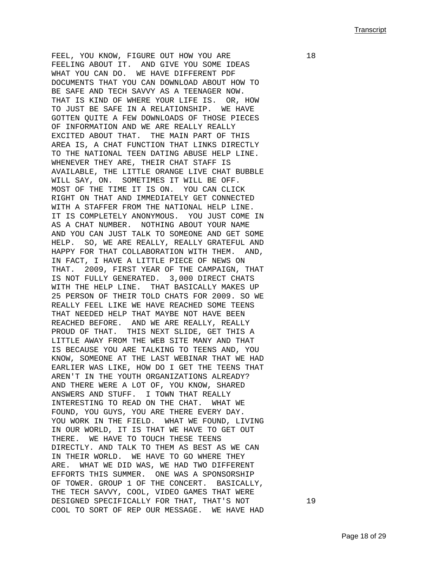FEEL, YOU KNOW, FIGURE OUT HOW YOU ARE  $18$ FEELING ABOUT IT. AND GIVE YOU SOME IDEAS WHAT YOU CAN DO. WE HAVE DIFFERENT PDF DOCUMENTS THAT YOU CAN DOWNLOAD ABOUT HOW TO BE SAFE AND TECH SAVVY AS A TEENAGER NOW. THAT IS KIND OF WHERE YOUR LIFE IS. OR, HOW TO JUST BE SAFE IN A RELATIONSHIP. WE HAVE GOTTEN QUITE A FEW DOWNLOADS OF THOSE PIECES OF INFORMATION AND WE ARE REALLY REALLY EXCITED ABOUT THAT. THE MAIN PART OF THIS AREA IS, A CHAT FUNCTION THAT LINKS DIRECTLY TO THE NATIONAL TEEN DATING ABUSE HELP LINE. WHENEVER THEY ARE, THEIR CHAT STAFF IS AVAILABLE, THE LITTLE ORANGE LIVE CHAT BUBBLE WILL SAY, ON. SOMETIMES IT WILL BE OFF. MOST OF THE TIME IT IS ON. YOU CAN CLICK RIGHT ON THAT AND IMMEDIATELY GET CONNECTED WITH A STAFFER FROM THE NATIONAL HELP LINE. IT IS COMPLETELY ANONYMOUS. YOU JUST COME IN AS A CHAT NUMBER. NOTHING ABOUT YOUR NAME AND YOU CAN JUST TALK TO SOMEONE AND GET SOME HELP. SO, WE ARE REALLY, REALLY GRATEFUL AND HAPPY FOR THAT COLLABORATION WITH THEM. AND, IN FACT, I HAVE A LITTLE PIECE OF NEWS ON THAT. 2009, FIRST YEAR OF THE CAMPAIGN, THAT IS NOT FULLY GENERATED. 3,000 DIRECT CHATS WITH THE HELP LINE. THAT BASICALLY MAKES UP 25 PERSON OF THEIR TOLD CHATS FOR 2009. SO WE REALLY FEEL LIKE WE HAVE REACHED SOME TEENS THAT NEEDED HELP THAT MAYBE NOT HAVE BEEN REACHED BEFORE. AND WE ARE REALLY, REALLY PROUD OF THAT. THIS NEXT SLIDE, GET THIS A LITTLE AWAY FROM THE WEB SITE MANY AND THAT IS BECAUSE YOU ARE TALKING TO TEENS AND, YOU KNOW, SOMEONE AT THE LAST WEBINAR THAT WE HAD EARLIER WAS LIKE, HOW DO I GET THE TEENS THAT AREN'T IN THE YOUTH ORGANIZATIONS ALREADY? AND THERE WERE A LOT OF, YOU KNOW, SHARED ANSWERS AND STUFF. I TOWN THAT REALLY INTERESTING TO READ ON THE CHAT. WHAT WE FOUND, YOU GUYS, YOU ARE THERE EVERY DAY. YOU WORK IN THE FIELD. WHAT WE FOUND, LIVING IN OUR WORLD, IT IS THAT WE HAVE TO GET OUT THERE. WE HAVE TO TOUCH THESE TEENS DIRECTLY. AND TALK TO THEM AS BEST AS WE CAN IN THEIR WORLD. WE HAVE TO GO WHERE THEY ARE. WHAT WE DID WAS, WE HAD TWO DIFFERENT EFFORTS THIS SUMMER. ONE WAS A SPONSORSHIP OF TOWER. GROUP 1 OF THE CONCERT. BASICALLY, THE TECH SAVVY, COOL, VIDEO GAMES THAT WERE DESIGNED SPECIFICALLY FOR THAT, THAT'S NOT 19 COOL TO SORT OF REP OUR MESSAGE. WE HAVE HAD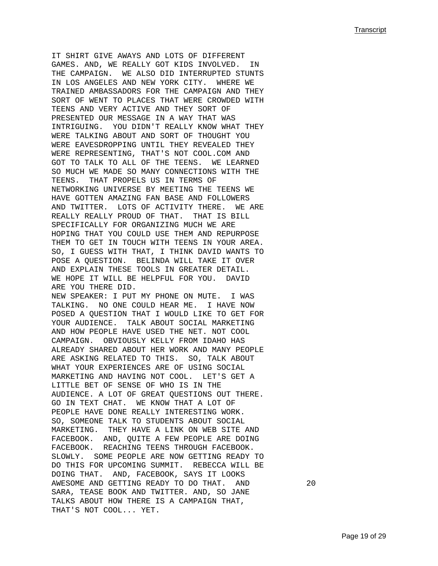IT SHIRT GIVE AWAYS AND LOTS OF DIFFERENT GAMES. AND, WE REALLY GOT KIDS INVOLVED. IN THE CAMPAIGN. WE ALSO DID INTERRUPTED STUNTS IN LOS ANGELES AND NEW YORK CITY. WHERE WE TRAINED AMBASSADORS FOR THE CAMPAIGN AND THEY SORT OF WENT TO PLACES THAT WERE CROWDED WITH TEENS AND VERY ACTIVE AND THEY SORT OF PRESENTED OUR MESSAGE IN A WAY THAT WAS INTRIGUING. YOU DIDN'T REALLY KNOW WHAT THEY WERE TALKING ABOUT AND SORT OF THOUGHT YOU WERE EAVESDROPPING UNTIL THEY REVEALED THEY WERE REPRESENTING, THAT'S NOT COOL.COM AND GOT TO TALK TO ALL OF THE TEENS. WE LEARNED SO MUCH WE MADE SO MANY CONNECTIONS WITH THE TEENS. THAT PROPELS US IN TERMS OF NETWORKING UNIVERSE BY MEETING THE TEENS WE HAVE GOTTEN AMAZING FAN BASE AND FOLLOWERS AND TWITTER. LOTS OF ACTIVITY THERE. WE ARE REALLY REALLY PROUD OF THAT. THAT IS BILL SPECIFICALLY FOR ORGANIZING MUCH WE ARE HOPING THAT YOU COULD USE THEM AND REPURPOSE THEM TO GET IN TOUCH WITH TEENS IN YOUR AREA. SO, I GUESS WITH THAT, I THINK DAVID WANTS TO POSE A QUESTION. BELINDA WILL TAKE IT OVER AND EXPLAIN THESE TOOLS IN GREATER DETAIL. WE HOPE IT WILL BE HELPFUL FOR YOU. DAVID ARE YOU THERE DID. NEW SPEAKER: I PUT MY PHONE ON MUTE. I WAS TALKING. NO ONE COULD HEAR ME. I HAVE NOW POSED A QUESTION THAT I WOULD LIKE TO GET FOR YOUR AUDIENCE. TALK ABOUT SOCIAL MARKETING AND HOW PEOPLE HAVE USED THE NET. NOT COOL CAMPAIGN. OBVIOUSLY KELLY FROM IDAHO HAS ALREADY SHARED ABOUT HER WORK AND MANY PEOPLE ARE ASKING RELATED TO THIS. SO, TALK ABOUT WHAT YOUR EXPERIENCES ARE OF USING SOCIAL MARKETING AND HAVING NOT COOL. LET'S GET A LITTLE BET OF SENSE OF WHO IS IN THE AUDIENCE. A LOT OF GREAT QUESTIONS OUT THERE. GO IN TEXT CHAT. WE KNOW THAT A LOT OF PEOPLE HAVE DONE REALLY INTERESTING WORK. SO, SOMEONE TALK TO STUDENTS ABOUT SOCIAL MARKETING. THEY HAVE A LINK ON WEB SITE AND FACEBOOK. AND, QUITE A FEW PEOPLE ARE DOING FACEBOOK. REACHING TEENS THROUGH FACEBOOK. SLOWLY. SOME PEOPLE ARE NOW GETTING READY TO DO THIS FOR UPCOMING SUMMIT. REBECCA WILL BE DOING THAT. AND, FACEBOOK, SAYS IT LOOKS AWESOME AND GETTING READY TO DO THAT. AND 20 SARA, TEASE BOOK AND TWITTER. AND, SO JANE TALKS ABOUT HOW THERE IS A CAMPAIGN THAT, THAT'S NOT COOL... YET.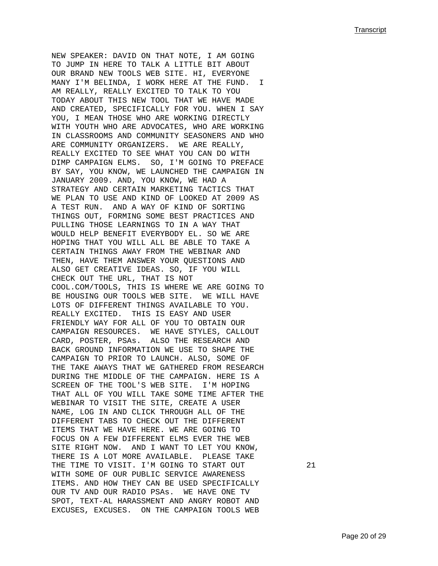NEW SPEAKER: DAVID ON THAT NOTE, I AM GOING TO JUMP IN HERE TO TALK A LITTLE BIT ABOUT OUR BRAND NEW TOOLS WEB SITE. HI, EVERYONE MANY I'M BELINDA, I WORK HERE AT THE FUND. I AM REALLY, REALLY EXCITED TO TALK TO YOU TODAY ABOUT THIS NEW TOOL THAT WE HAVE MADE AND CREATED, SPECIFICALLY FOR YOU. WHEN I SAY YOU, I MEAN THOSE WHO ARE WORKING DIRECTLY WITH YOUTH WHO ARE ADVOCATES, WHO ARE WORKING IN CLASSROOMS AND COMMUNITY SEASONERS AND WHO ARE COMMUNITY ORGANIZERS. WE ARE REALLY, REALLY EXCITED TO SEE WHAT YOU CAN DO WITH DIMP CAMPAIGN ELMS. SO, I'M GOING TO PREFACE BY SAY, YOU KNOW, WE LAUNCHED THE CAMPAIGN IN JANUARY 2009. AND, YOU KNOW, WE HAD A STRATEGY AND CERTAIN MARKETING TACTICS THAT WE PLAN TO USE AND KIND OF LOOKED AT 2009 AS A TEST RUN. AND A WAY OF KIND OF SORTING THINGS OUT, FORMING SOME BEST PRACTICES AND PULLING THOSE LEARNINGS TO IN A WAY THAT WOULD HELP BENEFIT EVERYBODY EL. SO WE ARE HOPING THAT YOU WILL ALL BE ABLE TO TAKE A CERTAIN THINGS AWAY FROM THE WEBINAR AND THEN, HAVE THEM ANSWER YOUR QUESTIONS AND ALSO GET CREATIVE IDEAS. SO, IF YOU WILL CHECK OUT THE URL, THAT IS NOT COOL.COM/TOOLS, THIS IS WHERE WE ARE GOING TO BE HOUSING OUR TOOLS WEB SITE. WE WILL HAVE LOTS OF DIFFERENT THINGS AVAILABLE TO YOU. REALLY EXCITED. THIS IS EASY AND USER FRIENDLY WAY FOR ALL OF YOU TO OBTAIN OUR CAMPAIGN RESOURCES. WE HAVE STYLES, CALLOUT CARD, POSTER, PSAs. ALSO THE RESEARCH AND BACK GROUND INFORMATION WE USE TO SHAPE THE CAMPAIGN TO PRIOR TO LAUNCH. ALSO, SOME OF THE TAKE AWAYS THAT WE GATHERED FROM RESEARCH DURING THE MIDDLE OF THE CAMPAIGN. HERE IS A SCREEN OF THE TOOL'S WEB SITE. I'M HOPING THAT ALL OF YOU WILL TAKE SOME TIME AFTER THE WEBINAR TO VISIT THE SITE, CREATE A USER NAME, LOG IN AND CLICK THROUGH ALL OF THE DIFFERENT TABS TO CHECK OUT THE DIFFERENT ITEMS THAT WE HAVE HERE. WE ARE GOING TO FOCUS ON A FEW DIFFERENT ELMS EVER THE WEB SITE RIGHT NOW. AND I WANT TO LET YOU KNOW, THERE IS A LOT MORE AVAILABLE. PLEASE TAKE THE TIME TO VISIT. I'M GOING TO START OUT 21 WITH SOME OF OUR PUBLIC SERVICE AWARENESS ITEMS. AND HOW THEY CAN BE USED SPECIFICALLY OUR TV AND OUR RADIO PSAs. WE HAVE ONE TV SPOT, TEXT-AL HARASSMENT AND ANGRY ROBOT AND EXCUSES, EXCUSES. ON THE CAMPAIGN TOOLS WEB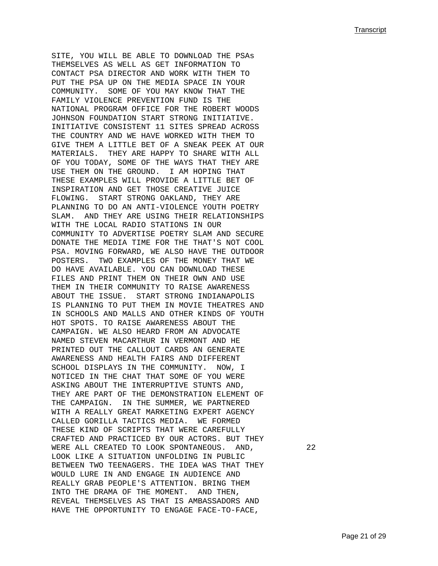SITE, YOU WILL BE ABLE TO DOWNLOAD THE PSAs THEMSELVES AS WELL AS GET INFORMATION TO CONTACT PSA DIRECTOR AND WORK WITH THEM TO PUT THE PSA UP ON THE MEDIA SPACE IN YOUR COMMUNITY. SOME OF YOU MAY KNOW THAT THE FAMILY VIOLENCE PREVENTION FUND IS THE NATIONAL PROGRAM OFFICE FOR THE ROBERT WOODS JOHNSON FOUNDATION START STRONG INITIATIVE. INITIATIVE CONSISTENT 11 SITES SPREAD ACROSS THE COUNTRY AND WE HAVE WORKED WITH THEM TO GIVE THEM A LITTLE BET OF A SNEAK PEEK AT OUR MATERIALS. THEY ARE HAPPY TO SHARE WITH ALL OF YOU TODAY, SOME OF THE WAYS THAT THEY ARE USE THEM ON THE GROUND. I AM HOPING THAT THESE EXAMPLES WILL PROVIDE A LITTLE BET OF INSPIRATION AND GET THOSE CREATIVE JUICE FLOWING. START STRONG OAKLAND, THEY ARE PLANNING TO DO AN ANTI-VIOLENCE YOUTH POETRY SLAM. AND THEY ARE USING THEIR RELATIONSHIPS WITH THE LOCAL RADIO STATIONS IN OUR COMMUNITY TO ADVERTISE POETRY SLAM AND SECURE DONATE THE MEDIA TIME FOR THE THAT'S NOT COOL PSA. MOVING FORWARD, WE ALSO HAVE THE OUTDOOR POSTERS. TWO EXAMPLES OF THE MONEY THAT WE DO HAVE AVAILABLE. YOU CAN DOWNLOAD THESE FILES AND PRINT THEM ON THEIR OWN AND USE THEM IN THEIR COMMUNITY TO RAISE AWARENESS ABOUT THE ISSUE. START STRONG INDIANAPOLIS IS PLANNING TO PUT THEM IN MOVIE THEATRES AND IN SCHOOLS AND MALLS AND OTHER KINDS OF YOUTH HOT SPOTS. TO RAISE AWARENESS ABOUT THE CAMPAIGN. WE ALSO HEARD FROM AN ADVOCATE NAMED STEVEN MACARTHUR IN VERMONT AND HE PRINTED OUT THE CALLOUT CARDS AN GENERATE AWARENESS AND HEALTH FAIRS AND DIFFERENT SCHOOL DISPLAYS IN THE COMMUNITY. NOW, I NOTICED IN THE CHAT THAT SOME OF YOU WERE ASKING ABOUT THE INTERRUPTIVE STUNTS AND, THEY ARE PART OF THE DEMONSTRATION ELEMENT OF THE CAMPAIGN. IN THE SUMMER, WE PARTNERED WITH A REALLY GREAT MARKETING EXPERT AGENCY CALLED GORILLA TACTICS MEDIA. WE FORMED THESE KIND OF SCRIPTS THAT WERE CAREFULLY CRAFTED AND PRACTICED BY OUR ACTORS. BUT THEY WERE ALL CREATED TO LOOK SPONTANEOUS. AND, 22 LOOK LIKE A SITUATION UNFOLDING IN PUBLIC BETWEEN TWO TEENAGERS. THE IDEA WAS THAT THEY WOULD LURE IN AND ENGAGE IN AUDIENCE AND REALLY GRAB PEOPLE'S ATTENTION. BRING THEM INTO THE DRAMA OF THE MOMENT. AND THEN, REVEAL THEMSELVES AS THAT IS AMBASSADORS AND HAVE THE OPPORTUNITY TO ENGAGE FACE-TO-FACE,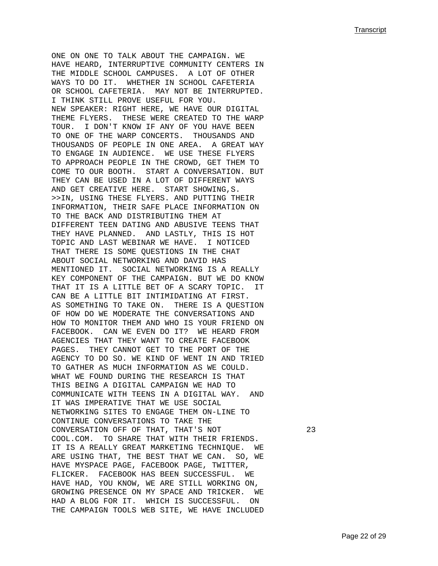ONE ON ONE TO TALK ABOUT THE CAMPAIGN. WE HAVE HEARD, INTERRUPTIVE COMMUNITY CENTERS IN THE MIDDLE SCHOOL CAMPUSES. A LOT OF OTHER WAYS TO DO IT. WHETHER IN SCHOOL CAFETERIA OR SCHOOL CAFETERIA. MAY NOT BE INTERRUPTED. I THINK STILL PROVE USEFUL FOR YOU. NEW SPEAKER: RIGHT HERE, WE HAVE OUR DIGITAL THEME FLYERS. THESE WERE CREATED TO THE WARP TOUR. I DON'T KNOW IF ANY OF YOU HAVE BEEN TO ONE OF THE WARP CONCERTS. THOUSANDS AND THOUSANDS OF PEOPLE IN ONE AREA. A GREAT WAY TO ENGAGE IN AUDIENCE. WE USE THESE FLYERS TO APPROACH PEOPLE IN THE CROWD, GET THEM TO COME TO OUR BOOTH. START A CONVERSATION. BUT THEY CAN BE USED IN A LOT OF DIFFERENT WAYS AND GET CREATIVE HERE. START SHOWING,S. >>IN, USING THESE FLYERS. AND PUTTING THEIR INFORMATION, THEIR SAFE PLACE INFORMATION ON TO THE BACK AND DISTRIBUTING THEM AT DIFFERENT TEEN DATING AND ABUSIVE TEENS THAT THEY HAVE PLANNED. AND LASTLY, THIS IS HOT TOPIC AND LAST WEBINAR WE HAVE. I NOTICED THAT THERE IS SOME QUESTIONS IN THE CHAT ABOUT SOCIAL NETWORKING AND DAVID HAS MENTIONED IT. SOCIAL NETWORKING IS A REALLY KEY COMPONENT OF THE CAMPAIGN. BUT WE DO KNOW THAT IT IS A LITTLE BET OF A SCARY TOPIC. IT CAN BE A LITTLE BIT INTIMIDATING AT FIRST. AS SOMETHING TO TAKE ON. THERE IS A QUESTION OF HOW DO WE MODERATE THE CONVERSATIONS AND HOW TO MONITOR THEM AND WHO IS YOUR FRIEND ON FACEBOOK. CAN WE EVEN DO IT? WE HEARD FROM AGENCIES THAT THEY WANT TO CREATE FACEBOOK PAGES. THEY CANNOT GET TO THE PORT OF THE AGENCY TO DO SO. WE KIND OF WENT IN AND TRIED TO GATHER AS MUCH INFORMATION AS WE COULD. WHAT WE FOUND DURING THE RESEARCH IS THAT THIS BEING A DIGITAL CAMPAIGN WE HAD TO COMMUNICATE WITH TEENS IN A DIGITAL WAY. AND IT WAS IMPERATIVE THAT WE USE SOCIAL NETWORKING SITES TO ENGAGE THEM ON-LINE TO CONTINUE CONVERSATIONS TO TAKE THE CONVERSATION OFF OF THAT, THAT'S NOT 23 COOL.COM. TO SHARE THAT WITH THEIR FRIENDS. IT IS A REALLY GREAT MARKETING TECHNIQUE. WE ARE USING THAT, THE BEST THAT WE CAN. SO, WE HAVE MYSPACE PAGE, FACEBOOK PAGE, TWITTER, FLICKER. FACEBOOK HAS BEEN SUCCESSFUL. WE HAVE HAD, YOU KNOW, WE ARE STILL WORKING ON, GROWING PRESENCE ON MY SPACE AND TRICKER. WE HAD A BLOG FOR IT. WHICH IS SUCCESSFUL. ON THE CAMPAIGN TOOLS WEB SITE, WE HAVE INCLUDED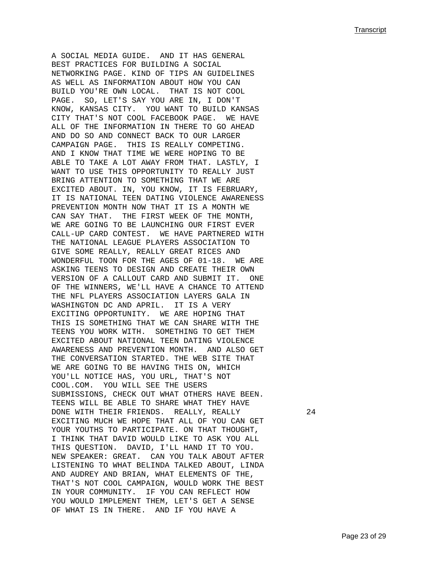A SOCIAL MEDIA GUIDE. AND IT HAS GENERAL BEST PRACTICES FOR BUILDING A SOCIAL NETWORKING PAGE. KIND OF TIPS AN GUIDELINES AS WELL AS INFORMATION ABOUT HOW YOU CAN BUILD YOU'RE OWN LOCAL. THAT IS NOT COOL PAGE. SO, LET'S SAY YOU ARE IN, I DON'T KNOW, KANSAS CITY. YOU WANT TO BUILD KANSAS CITY THAT'S NOT COOL FACEBOOK PAGE. WE HAVE ALL OF THE INFORMATION IN THERE TO GO AHEAD AND DO SO AND CONNECT BACK TO OUR LARGER CAMPAIGN PAGE. THIS IS REALLY COMPETING. AND I KNOW THAT TIME WE WERE HOPING TO BE ABLE TO TAKE A LOT AWAY FROM THAT. LASTLY, I WANT TO USE THIS OPPORTUNITY TO REALLY JUST BRING ATTENTION TO SOMETHING THAT WE ARE EXCITED ABOUT. IN, YOU KNOW, IT IS FEBRUARY, IT IS NATIONAL TEEN DATING VIOLENCE AWARENESS PREVENTION MONTH NOW THAT IT IS A MONTH WE CAN SAY THAT. THE FIRST WEEK OF THE MONTH, WE ARE GOING TO BE LAUNCHING OUR FIRST EVER CALL-UP CARD CONTEST. WE HAVE PARTNERED WITH THE NATIONAL LEAGUE PLAYERS ASSOCIATION TO GIVE SOME REALLY, REALLY GREAT RICES AND WONDERFUL TOON FOR THE AGES OF 01-18. WE ARE ASKING TEENS TO DESIGN AND CREATE THEIR OWN VERSION OF A CALLOUT CARD AND SUBMIT IT. ONE OF THE WINNERS, WE'LL HAVE A CHANCE TO ATTEND THE NFL PLAYERS ASSOCIATION LAYERS GALA IN WASHINGTON DC AND APRIL. IT IS A VERY EXCITING OPPORTUNITY. WE ARE HOPING THAT THIS IS SOMETHING THAT WE CAN SHARE WITH THE TEENS YOU WORK WITH. SOMETHING TO GET THEM EXCITED ABOUT NATIONAL TEEN DATING VIOLENCE AWARENESS AND PREVENTION MONTH. AND ALSO GET THE CONVERSATION STARTED. THE WEB SITE THAT WE ARE GOING TO BE HAVING THIS ON, WHICH YOU'LL NOTICE HAS, YOU URL, THAT'S NOT COOL.COM. YOU WILL SEE THE USERS SUBMISSIONS, CHECK OUT WHAT OTHERS HAVE BEEN. TEENS WILL BE ABLE TO SHARE WHAT THEY HAVE DONE WITH THEIR FRIENDS. REALLY, REALLY 24 EXCITING MUCH WE HOPE THAT ALL OF YOU CAN GET YOUR YOUTHS TO PARTICIPATE. ON THAT THOUGHT, I THINK THAT DAVID WOULD LIKE TO ASK YOU ALL THIS QUESTION. DAVID, I'LL HAND IT TO YOU. NEW SPEAKER: GREAT. CAN YOU TALK ABOUT AFTER LISTENING TO WHAT BELINDA TALKED ABOUT, LINDA AND AUDREY AND BRIAN, WHAT ELEMENTS OF THE, THAT'S NOT COOL CAMPAIGN, WOULD WORK THE BEST IN YOUR COMMUNITY. IF YOU CAN REFLECT HOW YOU WOULD IMPLEMENT THEM, LET'S GET A SENSE OF WHAT IS IN THERE. AND IF YOU HAVE A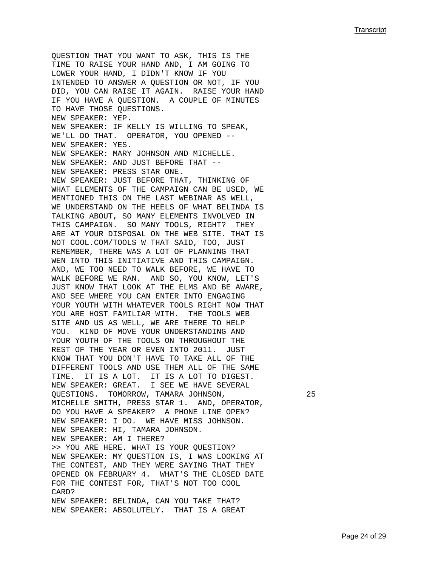QUESTION THAT YOU WANT TO ASK, THIS IS THE TIME TO RAISE YOUR HAND AND, I AM GOING TO LOWER YOUR HAND, I DIDN'T KNOW IF YOU INTENDED TO ANSWER A QUESTION OR NOT, IF YOU DID, YOU CAN RAISE IT AGAIN. RAISE YOUR HAND IF YOU HAVE A QUESTION. A COUPLE OF MINUTES TO HAVE THOSE QUESTIONS. NEW SPEAKER: YEP. NEW SPEAKER: IF KELLY IS WILLING TO SPEAK, WE'LL DO THAT. OPERATOR, YOU OPENED --NEW SPEAKER: YES. NEW SPEAKER: MARY JOHNSON AND MICHELLE. NEW SPEAKER: AND JUST BEFORE THAT -- NEW SPEAKER: PRESS STAR ONE. NEW SPEAKER: JUST BEFORE THAT, THINKING OF WHAT ELEMENTS OF THE CAMPAIGN CAN BE USED, WE MENTIONED THIS ON THE LAST WEBINAR AS WELL, WE UNDERSTAND ON THE HEELS OF WHAT BELINDA IS TALKING ABOUT, SO MANY ELEMENTS INVOLVED IN THIS CAMPAIGN. SO MANY TOOLS, RIGHT? THEY ARE AT YOUR DISPOSAL ON THE WEB SITE. THAT IS NOT COOL.COM/TOOLS W THAT SAID, TOO, JUST REMEMBER, THERE WAS A LOT OF PLANNING THAT WEN INTO THIS INITIATIVE AND THIS CAMPAIGN. AND, WE TOO NEED TO WALK BEFORE, WE HAVE TO WALK BEFORE WE RAN. AND SO, YOU KNOW, LET'S JUST KNOW THAT LOOK AT THE ELMS AND BE AWARE, AND SEE WHERE YOU CAN ENTER INTO ENGAGING YOUR YOUTH WITH WHATEVER TOOLS RIGHT NOW THAT YOU ARE HOST FAMILIAR WITH. THE TOOLS WEB SITE AND US AS WELL, WE ARE THERE TO HELP YOU. KIND OF MOVE YOUR UNDERSTANDING AND YOUR YOUTH OF THE TOOLS ON THROUGHOUT THE REST OF THE YEAR OR EVEN INTO 2011. JUST KNOW THAT YOU DON'T HAVE TO TAKE ALL OF THE DIFFERENT TOOLS AND USE THEM ALL OF THE SAME TIME. IT IS A LOT. IT IS A LOT TO DIGEST. NEW SPEAKER: GREAT. I SEE WE HAVE SEVERAL QUESTIONS. TOMORROW, TAMARA JOHNSON, 25 MICHELLE SMITH, PRESS STAR 1. AND, OPERATOR, DO YOU HAVE A SPEAKER? A PHONE LINE OPEN? NEW SPEAKER: I DO. WE HAVE MISS JOHNSON. NEW SPEAKER: HI, TAMARA JOHNSON. NEW SPEAKER: AM I THERE? >> YOU ARE HERE. WHAT IS YOUR QUESTION? NEW SPEAKER: MY QUESTION IS, I WAS LOOKING AT THE CONTEST, AND THEY WERE SAYING THAT THEY OPENED ON FEBRUARY 4. WHAT'S THE CLOSED DATE FOR THE CONTEST FOR, THAT'S NOT TOO COOL CARD? NEW SPEAKER: BELINDA, CAN YOU TAKE THAT? NEW SPEAKER: ABSOLUTELY. THAT IS A GREAT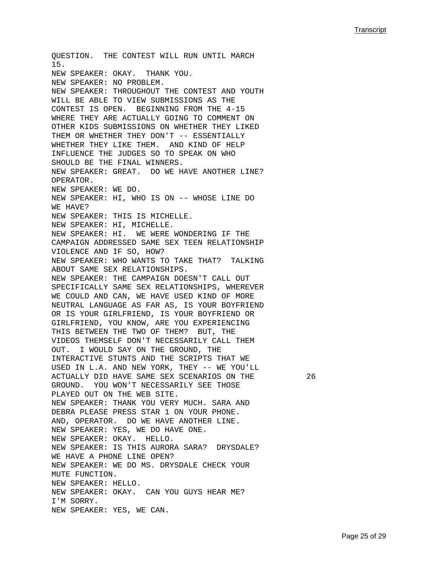QUESTION. THE CONTEST WILL RUN UNTIL MARCH 15. NEW SPEAKER: OKAY. THANK YOU. NEW SPEAKER: NO PROBLEM. NEW SPEAKER: THROUGHOUT THE CONTEST AND YOUTH WILL BE ABLE TO VIEW SUBMISSIONS AS THE CONTEST IS OPEN. BEGINNING FROM THE 4-15 WHERE THEY ARE ACTUALLY GOING TO COMMENT ON OTHER KIDS SUBMISSIONS ON WHETHER THEY LIKED THEM OR WHETHER THEY DON'T -- ESSENTIALLY WHETHER THEY LIKE THEM. AND KIND OF HELP INFLUENCE THE JUDGES SO TO SPEAK ON WHO SHOULD BE THE FINAL WINNERS. NEW SPEAKER: GREAT. DO WE HAVE ANOTHER LINE? OPERATOR. NEW SPEAKER: WE DO. NEW SPEAKER: HI, WHO IS ON -- WHOSE LINE DO WE HAVE? NEW SPEAKER: THIS IS MICHELLE. NEW SPEAKER: HI, MICHELLE. NEW SPEAKER: HI. WE WERE WONDERING IF THE CAMPAIGN ADDRESSED SAME SEX TEEN RELATIONSHIP VIOLENCE AND IF SO, HOW? NEW SPEAKER: WHO WANTS TO TAKE THAT? TALKING ABOUT SAME SEX RELATIONSHIPS. NEW SPEAKER: THE CAMPAIGN DOESN'T CALL OUT SPECIFICALLY SAME SEX RELATIONSHIPS, WHEREVER WE COULD AND CAN, WE HAVE USED KIND OF MORE NEUTRAL LANGUAGE AS FAR AS, IS YOUR BOYFRIEND OR IS YOUR GIRLFRIEND, IS YOUR BOYFRIEND OR GIRLFRIEND, YOU KNOW, ARE YOU EXPERIENCING THIS BETWEEN THE TWO OF THEM? BUT, THE VIDEOS THEMSELF DON'T NECESSARILY CALL THEM OUT. I WOULD SAY ON THE GROUND, THE INTERACTIVE STUNTS AND THE SCRIPTS THAT WE USED IN L.A. AND NEW YORK, THEY -- WE YOU'LL ACTUALLY DID HAVE SAME SEX SCENARIOS ON THE 26 GROUND. YOU WON'T NECESSARILY SEE THOSE PLAYED OUT ON THE WEB SITE. NEW SPEAKER: THANK YOU VERY MUCH. SARA AND DEBRA PLEASE PRESS STAR 1 ON YOUR PHONE. AND, OPERATOR. DO WE HAVE ANOTHER LINE. NEW SPEAKER: YES, WE DO HAVE ONE. NEW SPEAKER: OKAY. HELLO. NEW SPEAKER: IS THIS AURORA SARA? DRYSDALE? WE HAVE A PHONE LINE OPEN? NEW SPEAKER: WE DO MS. DRYSDALE CHECK YOUR MUTE FUNCTION. NEW SPEAKER: HELLO. NEW SPEAKER: OKAY. CAN YOU GUYS HEAR ME? I'M SORRY. NEW SPEAKER: YES, WE CAN.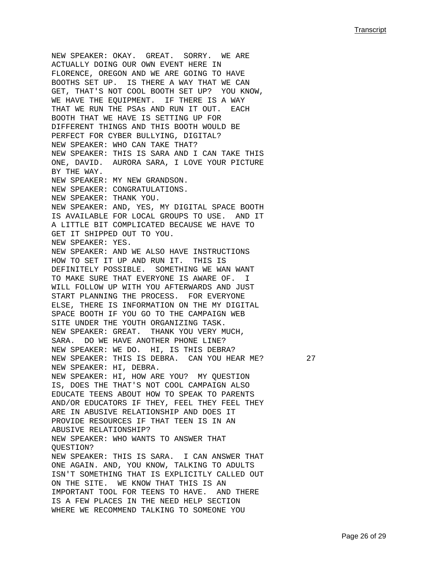NEW SPEAKER: OKAY. GREAT. SORRY. WE ARE ACTUALLY DOING OUR OWN EVENT HERE IN FLORENCE, OREGON AND WE ARE GOING TO HAVE BOOTHS SET UP. IS THERE A WAY THAT WE CAN GET, THAT'S NOT COOL BOOTH SET UP? YOU KNOW, WE HAVE THE EQUIPMENT. IF THERE IS A WAY THAT WE RUN THE PSAs AND RUN IT OUT. EACH BOOTH THAT WE HAVE IS SETTING UP FOR DIFFERENT THINGS AND THIS BOOTH WOULD BE PERFECT FOR CYBER BULLYING, DIGITAL? NEW SPEAKER: WHO CAN TAKE THAT? NEW SPEAKER: THIS IS SARA AND I CAN TAKE THIS ONE, DAVID. AURORA SARA, I LOVE YOUR PICTURE BY THE WAY. NEW SPEAKER: MY NEW GRANDSON. NEW SPEAKER: CONGRATULATIONS. NEW SPEAKER: THANK YOU. NEW SPEAKER: AND, YES, MY DIGITAL SPACE BOOTH IS AVAILABLE FOR LOCAL GROUPS TO USE. AND IT A LITTLE BIT COMPLICATED BECAUSE WE HAVE TO GET IT SHIPPED OUT TO YOU. NEW SPEAKER: YES. NEW SPEAKER: AND WE ALSO HAVE INSTRUCTIONS HOW TO SET IT UP AND RUN IT. THIS IS DEFINITELY POSSIBLE. SOMETHING WE WAN WANT TO MAKE SURE THAT EVERYONE IS AWARE OF. I WILL FOLLOW UP WITH YOU AFTERWARDS AND JUST START PLANNING THE PROCESS. FOR EVERYONE ELSE, THERE IS INFORMATION ON THE MY DIGITAL SPACE BOOTH IF YOU GO TO THE CAMPAIGN WEB SITE UNDER THE YOUTH ORGANIZING TASK. NEW SPEAKER: GREAT. THANK YOU VERY MUCH, SARA. DO WE HAVE ANOTHER PHONE LINE? NEW SPEAKER: WE DO. HI, IS THIS DEBRA? NEW SPEAKER: THIS IS DEBRA. CAN YOU HEAR ME? 27 NEW SPEAKER: HI, DEBRA. NEW SPEAKER: HI, HOW ARE YOU? MY QUESTION IS, DOES THE THAT'S NOT COOL CAMPAIGN ALSO EDUCATE TEENS ABOUT HOW TO SPEAK TO PARENTS AND/OR EDUCATORS IF THEY, FEEL THEY FEEL THEY ARE IN ABUSIVE RELATIONSHIP AND DOES IT PROVIDE RESOURCES IF THAT TEEN IS IN AN ABUSIVE RELATIONSHIP? NEW SPEAKER: WHO WANTS TO ANSWER THAT QUESTION? NEW SPEAKER: THIS IS SARA. I CAN ANSWER THAT ONE AGAIN. AND, YOU KNOW, TALKING TO ADULTS ISN'T SOMETHING THAT IS EXPLICITLY CALLED OUT ON THE SITE. WE KNOW THAT THIS IS AN IMPORTANT TOOL FOR TEENS TO HAVE. AND THERE IS A FEW PLACES IN THE NEED HELP SECTION WHERE WE RECOMMEND TALKING TO SOMEONE YOU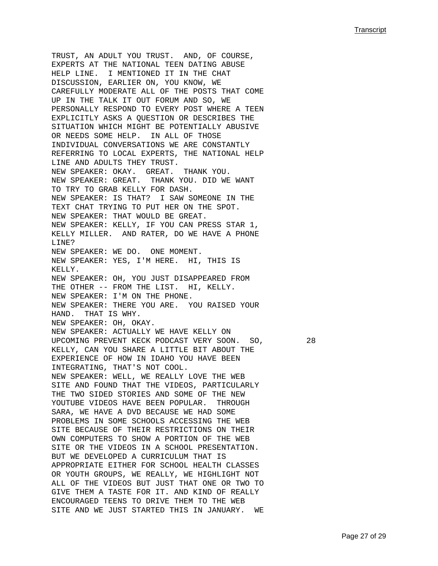TRUST, AN ADULT YOU TRUST. AND, OF COURSE, EXPERTS AT THE NATIONAL TEEN DATING ABUSE HELP LINE. I MENTIONED IT IN THE CHAT DISCUSSION, EARLIER ON, YOU KNOW, WE CAREFULLY MODERATE ALL OF THE POSTS THAT COME UP IN THE TALK IT OUT FORUM AND SO, WE PERSONALLY RESPOND TO EVERY POST WHERE A TEEN EXPLICITLY ASKS A QUESTION OR DESCRIBES THE SITUATION WHICH MIGHT BE POTENTIALLY ABUSIVE OR NEEDS SOME HELP. IN ALL OF THOSE INDIVIDUAL CONVERSATIONS WE ARE CONSTANTLY REFERRING TO LOCAL EXPERTS, THE NATIONAL HELP LINE AND ADULTS THEY TRUST. NEW SPEAKER: OKAY. GREAT. THANK YOU. NEW SPEAKER: GREAT. THANK YOU. DID WE WANT TO TRY TO GRAB KELLY FOR DASH. NEW SPEAKER: IS THAT? I SAW SOMEONE IN THE TEXT CHAT TRYING TO PUT HER ON THE SPOT. NEW SPEAKER: THAT WOULD BE GREAT. NEW SPEAKER: KELLY, IF YOU CAN PRESS STAR 1, KELLY MILLER. AND RATER, DO WE HAVE A PHONE LINE? NEW SPEAKER: WE DO. ONE MOMENT. NEW SPEAKER: YES, I'M HERE. HI, THIS IS KELLY. NEW SPEAKER: OH, YOU JUST DISAPPEARED FROM THE OTHER -- FROM THE LIST. HI, KELLY. NEW SPEAKER: I'M ON THE PHONE. NEW SPEAKER: THERE YOU ARE. YOU RAISED YOUR HAND. THAT IS WHY. NEW SPEAKER: OH, OKAY. NEW SPEAKER: ACTUALLY WE HAVE KELLY ON UPCOMING PREVENT KECK PODCAST VERY SOON. SO, 28 KELLY, CAN YOU SHARE A LITTLE BIT ABOUT THE EXPERIENCE OF HOW IN IDAHO YOU HAVE BEEN INTEGRATING, THAT'S NOT COOL. NEW SPEAKER: WELL, WE REALLY LOVE THE WEB SITE AND FOUND THAT THE VIDEOS, PARTICULARLY THE TWO SIDED STORIES AND SOME OF THE NEW YOUTUBE VIDEOS HAVE BEEN POPULAR. THROUGH SARA, WE HAVE A DVD BECAUSE WE HAD SOME PROBLEMS IN SOME SCHOOLS ACCESSING THE WEB SITE BECAUSE OF THEIR RESTRICTIONS ON THEIR OWN COMPUTERS TO SHOW A PORTION OF THE WEB SITE OR THE VIDEOS IN A SCHOOL PRESENTATION. BUT WE DEVELOPED A CURRICULUM THAT IS APPROPRIATE EITHER FOR SCHOOL HEALTH CLASSES OR YOUTH GROUPS, WE REALLY, WE HIGHLIGHT NOT ALL OF THE VIDEOS BUT JUST THAT ONE OR TWO TO GIVE THEM A TASTE FOR IT. AND KIND OF REALLY ENCOURAGED TEENS TO DRIVE THEM TO THE WEB SITE AND WE JUST STARTED THIS IN JANUARY. WE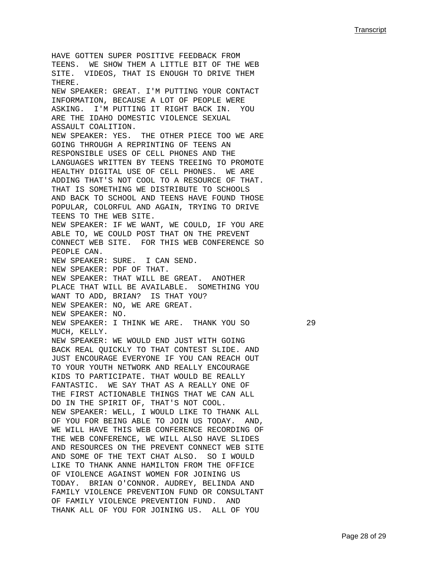HAVE GOTTEN SUPER POSITIVE FEEDBACK FROM TEENS. WE SHOW THEM A LITTLE BIT OF THE WEB SITE. VIDEOS, THAT IS ENOUGH TO DRIVE THEM THERE. NEW SPEAKER: GREAT. I'M PUTTING YOUR CONTACT INFORMATION, BECAUSE A LOT OF PEOPLE WERE ASKING. I'M PUTTING IT RIGHT BACK IN. YOU ARE THE IDAHO DOMESTIC VIOLENCE SEXUAL ASSAULT COALITION. NEW SPEAKER: YES. THE OTHER PIECE TOO WE ARE GOING THROUGH A REPRINTING OF TEENS AN RESPONSIBLE USES OF CELL PHONES AND THE LANGUAGES WRITTEN BY TEENS TREEING TO PROMOTE HEALTHY DIGITAL USE OF CELL PHONES. WE ARE ADDING THAT'S NOT COOL TO A RESOURCE OF THAT. THAT IS SOMETHING WE DISTRIBUTE TO SCHOOLS AND BACK TO SCHOOL AND TEENS HAVE FOUND THOSE POPULAR, COLORFUL AND AGAIN, TRYING TO DRIVE TEENS TO THE WEB SITE. NEW SPEAKER: IF WE WANT, WE COULD, IF YOU ARE ABLE TO, WE COULD POST THAT ON THE PREVENT CONNECT WEB SITE. FOR THIS WEB CONFERENCE SO PEOPLE CAN. NEW SPEAKER: SURE. I CAN SEND. NEW SPEAKER: PDF OF THAT. NEW SPEAKER: THAT WILL BE GREAT. ANOTHER PLACE THAT WILL BE AVAILABLE. SOMETHING YOU WANT TO ADD, BRIAN? IS THAT YOU? NEW SPEAKER: NO, WE ARE GREAT. NEW SPEAKER: NO. NEW SPEAKER: I THINK WE ARE. THANK YOU SO 29 MUCH, KELLY. NEW SPEAKER: WE WOULD END JUST WITH GOING BACK REAL QUICKLY TO THAT CONTEST SLIDE. AND JUST ENCOURAGE EVERYONE IF YOU CAN REACH OUT TO YOUR YOUTH NETWORK AND REALLY ENCOURAGE KIDS TO PARTICIPATE. THAT WOULD BE REALLY FANTASTIC. WE SAY THAT AS A REALLY ONE OF THE FIRST ACTIONABLE THINGS THAT WE CAN ALL DO IN THE SPIRIT OF, THAT'S NOT COOL. NEW SPEAKER: WELL, I WOULD LIKE TO THANK ALL OF YOU FOR BEING ABLE TO JOIN US TODAY. AND, WE WILL HAVE THIS WEB CONFERENCE RECORDING OF THE WEB CONFERENCE, WE WILL ALSO HAVE SLIDES AND RESOURCES ON THE PREVENT CONNECT WEB SITE AND SOME OF THE TEXT CHAT ALSO. SO I WOULD LIKE TO THANK ANNE HAMILTON FROM THE OFFICE OF VIOLENCE AGAINST WOMEN FOR JOINING US TODAY. BRIAN O'CONNOR. AUDREY, BELINDA AND FAMILY VIOLENCE PREVENTION FUND OR CONSULTANT OF FAMILY VIOLENCE PREVENTION FUND. AND THANK ALL OF YOU FOR JOINING US. ALL OF YOU